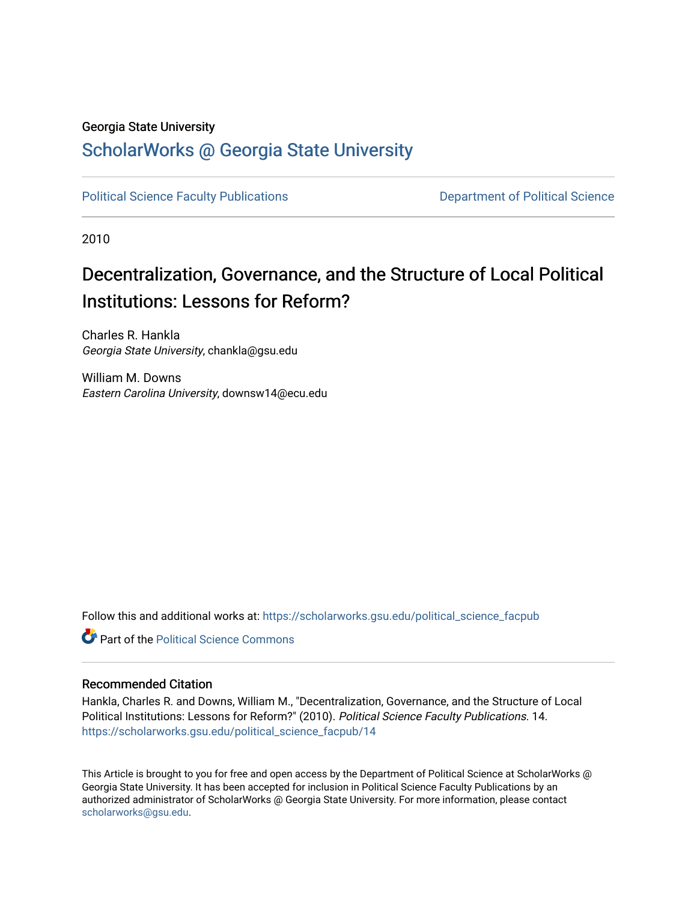#### Georgia State University

## [ScholarWorks @ Georgia State University](https://scholarworks.gsu.edu/)

[Political Science Faculty Publications](https://scholarworks.gsu.edu/political_science_facpub) **Department of Political Science** 

2010

# Decentralization, Governance, and the Structure of Local Political Institutions: Lessons for Reform?

Charles R. Hankla Georgia State University, chankla@gsu.edu

William M. Downs Eastern Carolina University, downsw14@ecu.edu

Follow this and additional works at: [https://scholarworks.gsu.edu/political\\_science\\_facpub](https://scholarworks.gsu.edu/political_science_facpub?utm_source=scholarworks.gsu.edu%2Fpolitical_science_facpub%2F14&utm_medium=PDF&utm_campaign=PDFCoverPages) 

**C** Part of the Political Science Commons

#### Recommended Citation

Hankla, Charles R. and Downs, William M., "Decentralization, Governance, and the Structure of Local Political Institutions: Lessons for Reform?" (2010). Political Science Faculty Publications. 14. [https://scholarworks.gsu.edu/political\\_science\\_facpub/14](https://scholarworks.gsu.edu/political_science_facpub/14?utm_source=scholarworks.gsu.edu%2Fpolitical_science_facpub%2F14&utm_medium=PDF&utm_campaign=PDFCoverPages) 

This Article is brought to you for free and open access by the Department of Political Science at ScholarWorks @ Georgia State University. It has been accepted for inclusion in Political Science Faculty Publications by an authorized administrator of ScholarWorks @ Georgia State University. For more information, please contact [scholarworks@gsu.edu.](mailto:scholarworks@gsu.edu)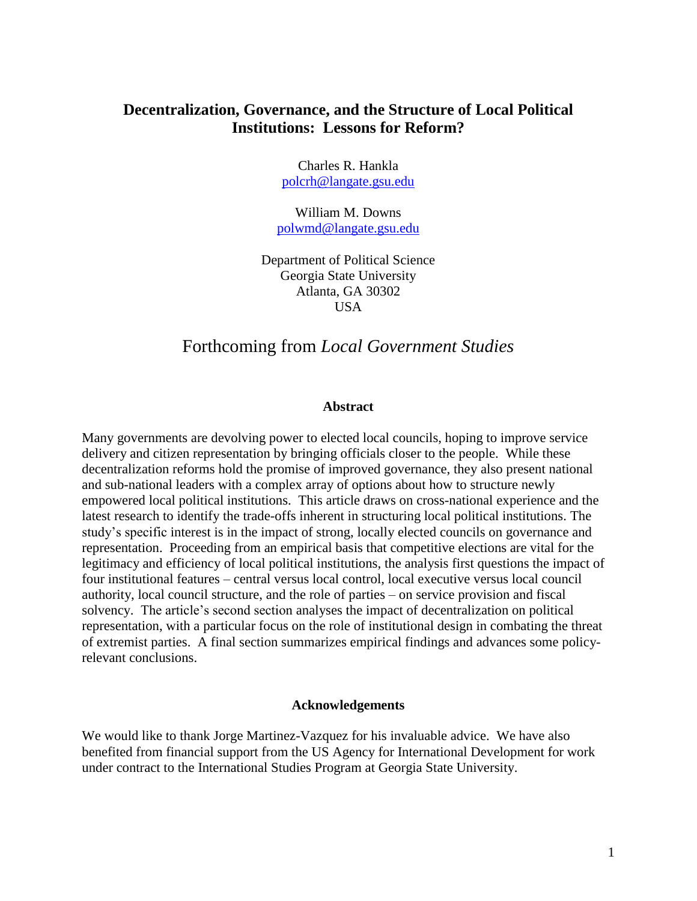### **Decentralization, Governance, and the Structure of Local Political Institutions: Lessons for Reform?**

Charles R. Hankla [polcrh@langate.gsu.edu](mailto:polcrh@langate.gsu.edu)

William M. Downs [polwmd@langate.gsu.edu](mailto:polwmd@langate.gsu.edu)

Department of Political Science Georgia State University Atlanta, GA 30302 **USA** 

# Forthcoming from *Local Government Studies*

#### **Abstract**

Many governments are devolving power to elected local councils, hoping to improve service delivery and citizen representation by bringing officials closer to the people. While these decentralization reforms hold the promise of improved governance, they also present national and sub-national leaders with a complex array of options about how to structure newly empowered local political institutions. This article draws on cross-national experience and the latest research to identify the trade-offs inherent in structuring local political institutions. The study's specific interest is in the impact of strong, locally elected councils on governance and representation. Proceeding from an empirical basis that competitive elections are vital for the legitimacy and efficiency of local political institutions, the analysis first questions the impact of four institutional features – central versus local control, local executive versus local council authority, local council structure, and the role of parties – on service provision and fiscal solvency. The article's second section analyses the impact of decentralization on political representation, with a particular focus on the role of institutional design in combating the threat of extremist parties. A final section summarizes empirical findings and advances some policyrelevant conclusions.

#### **Acknowledgements**

We would like to thank Jorge Martinez-Vazquez for his invaluable advice. We have also benefited from financial support from the US Agency for International Development for work under contract to the International Studies Program at Georgia State University.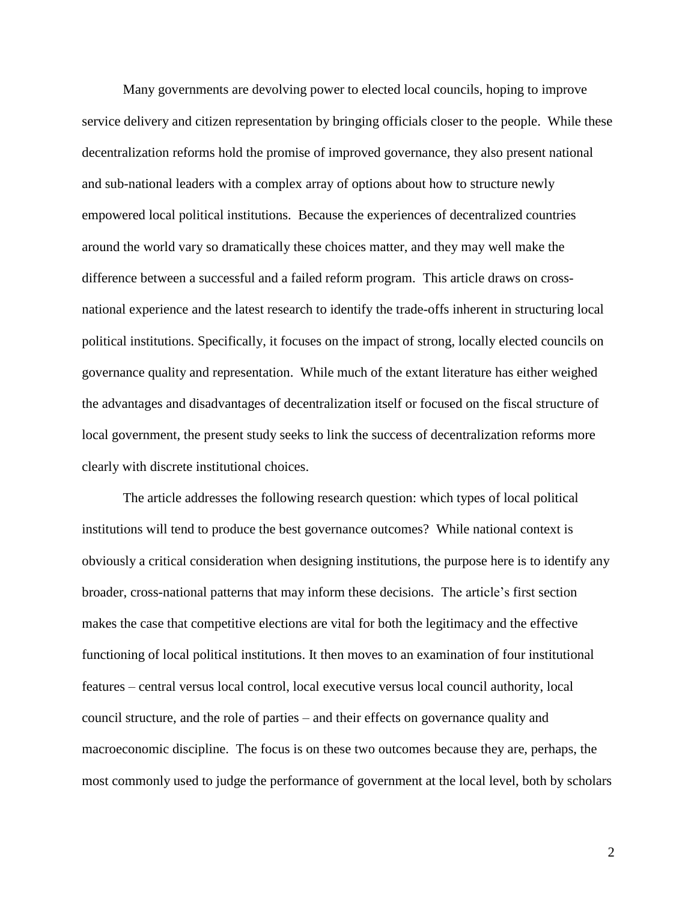Many governments are devolving power to elected local councils, hoping to improve service delivery and citizen representation by bringing officials closer to the people. While these decentralization reforms hold the promise of improved governance, they also present national and sub-national leaders with a complex array of options about how to structure newly empowered local political institutions. Because the experiences of decentralized countries around the world vary so dramatically these choices matter, and they may well make the difference between a successful and a failed reform program. This article draws on crossnational experience and the latest research to identify the trade-offs inherent in structuring local political institutions. Specifically, it focuses on the impact of strong, locally elected councils on governance quality and representation. While much of the extant literature has either weighed the advantages and disadvantages of decentralization itself or focused on the fiscal structure of local government, the present study seeks to link the success of decentralization reforms more clearly with discrete institutional choices.

The article addresses the following research question: which types of local political institutions will tend to produce the best governance outcomes? While national context is obviously a critical consideration when designing institutions, the purpose here is to identify any broader, cross-national patterns that may inform these decisions. The article's first section makes the case that competitive elections are vital for both the legitimacy and the effective functioning of local political institutions. It then moves to an examination of four institutional features – central versus local control, local executive versus local council authority, local council structure, and the role of parties – and their effects on governance quality and macroeconomic discipline. The focus is on these two outcomes because they are, perhaps, the most commonly used to judge the performance of government at the local level, both by scholars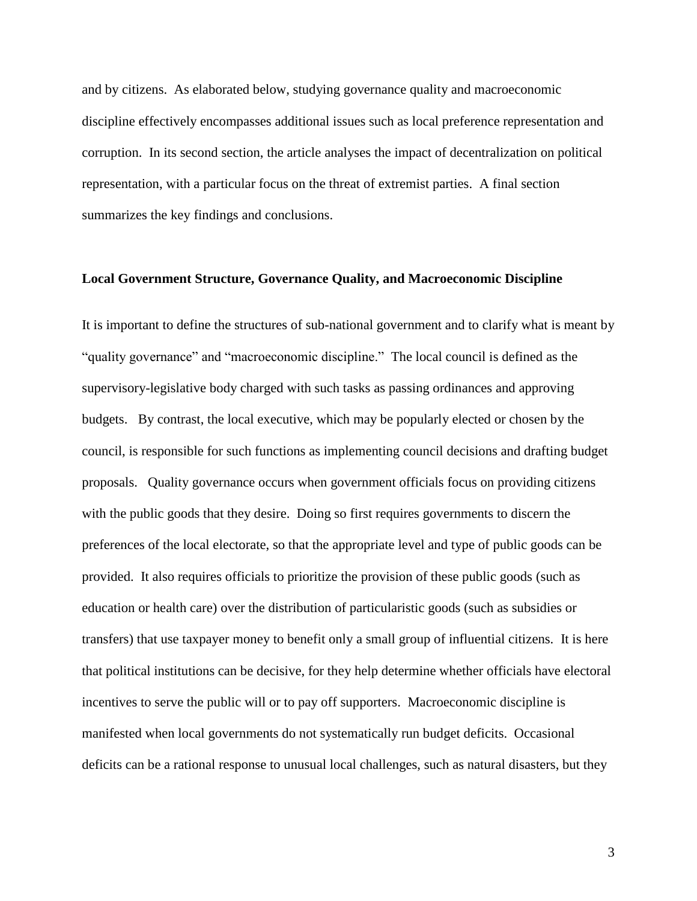and by citizens. As elaborated below, studying governance quality and macroeconomic discipline effectively encompasses additional issues such as local preference representation and corruption. In its second section, the article analyses the impact of decentralization on political representation, with a particular focus on the threat of extremist parties. A final section summarizes the key findings and conclusions.

#### **Local Government Structure, Governance Quality, and Macroeconomic Discipline**

It is important to define the structures of sub-national government and to clarify what is meant by "quality governance" and "macroeconomic discipline." The local council is defined as the supervisory-legislative body charged with such tasks as passing ordinances and approving budgets. By contrast, the local executive, which may be popularly elected or chosen by the council, is responsible for such functions as implementing council decisions and drafting budget proposals. Quality governance occurs when government officials focus on providing citizens with the public goods that they desire. Doing so first requires governments to discern the preferences of the local electorate, so that the appropriate level and type of public goods can be provided. It also requires officials to prioritize the provision of these public goods (such as education or health care) over the distribution of particularistic goods (such as subsidies or transfers) that use taxpayer money to benefit only a small group of influential citizens. It is here that political institutions can be decisive, for they help determine whether officials have electoral incentives to serve the public will or to pay off supporters. Macroeconomic discipline is manifested when local governments do not systematically run budget deficits. Occasional deficits can be a rational response to unusual local challenges, such as natural disasters, but they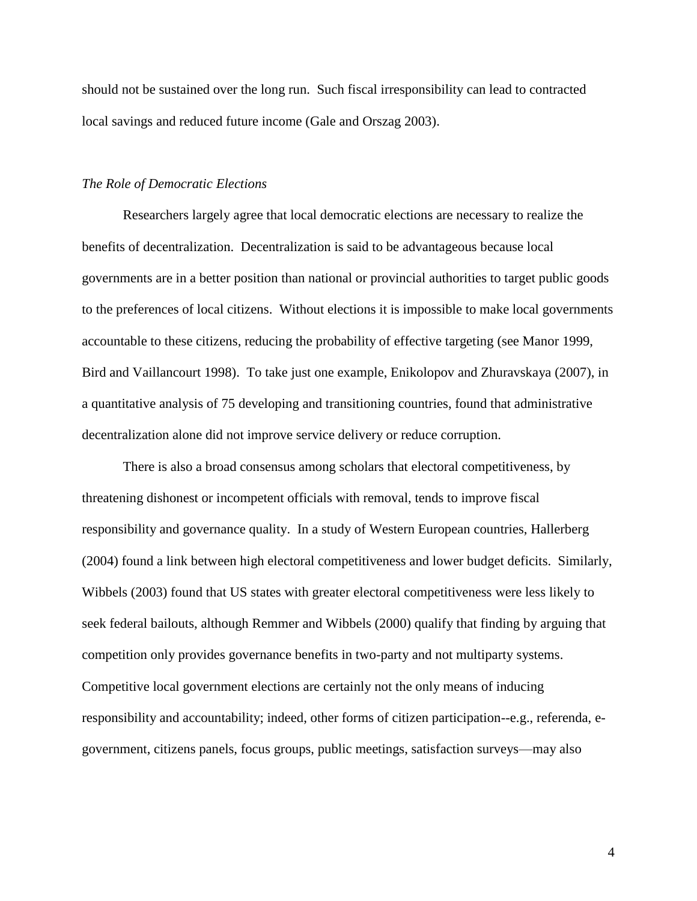should not be sustained over the long run. Such fiscal irresponsibility can lead to contracted local savings and reduced future income (Gale and Orszag 2003).

#### *The Role of Democratic Elections*

Researchers largely agree that local democratic elections are necessary to realize the benefits of decentralization. Decentralization is said to be advantageous because local governments are in a better position than national or provincial authorities to target public goods to the preferences of local citizens. Without elections it is impossible to make local governments accountable to these citizens, reducing the probability of effective targeting (see Manor 1999, Bird and Vaillancourt 1998). To take just one example, Enikolopov and Zhuravskaya (2007), in a quantitative analysis of 75 developing and transitioning countries, found that administrative decentralization alone did not improve service delivery or reduce corruption.

There is also a broad consensus among scholars that electoral competitiveness, by threatening dishonest or incompetent officials with removal, tends to improve fiscal responsibility and governance quality. In a study of Western European countries, Hallerberg (2004) found a link between high electoral competitiveness and lower budget deficits. Similarly, Wibbels (2003) found that US states with greater electoral competitiveness were less likely to seek federal bailouts, although Remmer and Wibbels (2000) qualify that finding by arguing that competition only provides governance benefits in two-party and not multiparty systems. Competitive local government elections are certainly not the only means of inducing responsibility and accountability; indeed, other forms of citizen participation--e.g., referenda, egovernment, citizens panels, focus groups, public meetings, satisfaction surveys—may also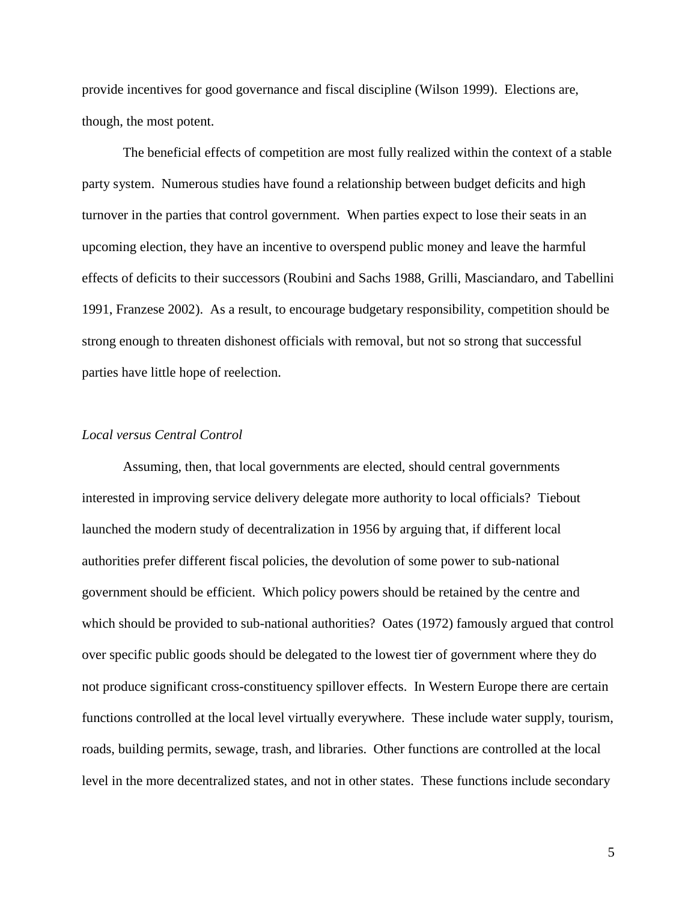provide incentives for good governance and fiscal discipline (Wilson 1999). Elections are, though, the most potent.

 The beneficial effects of competition are most fully realized within the context of a stable party system. Numerous studies have found a relationship between budget deficits and high turnover in the parties that control government. When parties expect to lose their seats in an upcoming election, they have an incentive to overspend public money and leave the harmful effects of deficits to their successors (Roubini and Sachs 1988, Grilli, Masciandaro, and Tabellini 1991, Franzese 2002). As a result, to encourage budgetary responsibility, competition should be strong enough to threaten dishonest officials with removal, but not so strong that successful parties have little hope of reelection.

#### *Local versus Central Control*

Assuming, then, that local governments are elected, should central governments interested in improving service delivery delegate more authority to local officials? Tiebout launched the modern study of decentralization in 1956 by arguing that, if different local authorities prefer different fiscal policies, the devolution of some power to sub-national government should be efficient. Which policy powers should be retained by the centre and which should be provided to sub-national authorities? Oates (1972) famously argued that control over specific public goods should be delegated to the lowest tier of government where they do not produce significant cross-constituency spillover effects. In Western Europe there are certain functions controlled at the local level virtually everywhere. These include water supply, tourism, roads, building permits, sewage, trash, and libraries. Other functions are controlled at the local level in the more decentralized states, and not in other states. These functions include secondary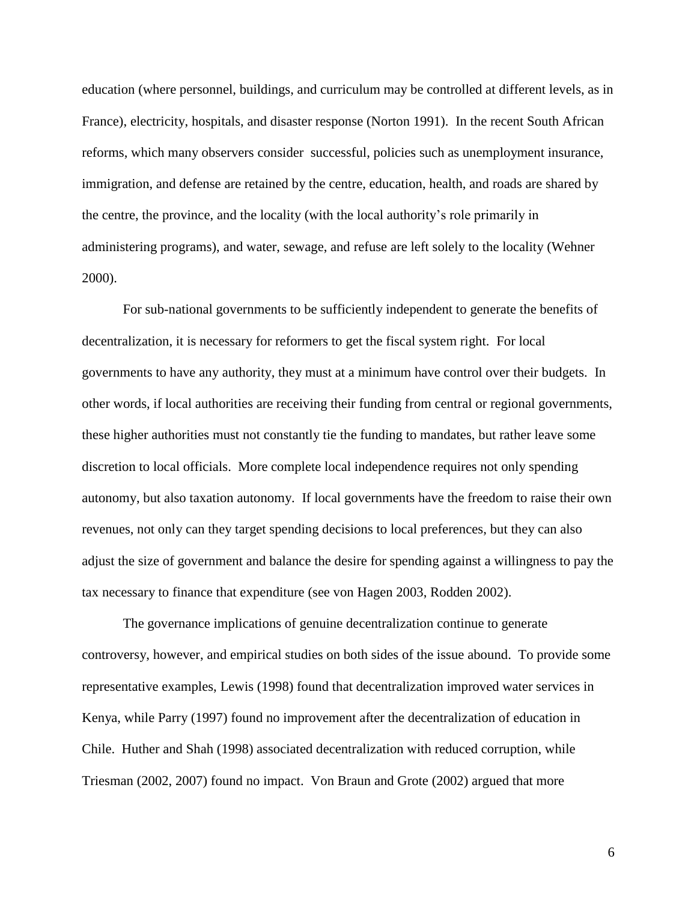education (where personnel, buildings, and curriculum may be controlled at different levels, as in France), electricity, hospitals, and disaster response (Norton 1991). In the recent South African reforms, which many observers consider successful, policies such as unemployment insurance, immigration, and defense are retained by the centre, education, health, and roads are shared by the centre, the province, and the locality (with the local authority's role primarily in administering programs), and water, sewage, and refuse are left solely to the locality (Wehner 2000).

For sub-national governments to be sufficiently independent to generate the benefits of decentralization, it is necessary for reformers to get the fiscal system right. For local governments to have any authority, they must at a minimum have control over their budgets. In other words, if local authorities are receiving their funding from central or regional governments, these higher authorities must not constantly tie the funding to mandates, but rather leave some discretion to local officials. More complete local independence requires not only spending autonomy, but also taxation autonomy. If local governments have the freedom to raise their own revenues, not only can they target spending decisions to local preferences, but they can also adjust the size of government and balance the desire for spending against a willingness to pay the tax necessary to finance that expenditure (see von Hagen 2003, Rodden 2002).

The governance implications of genuine decentralization continue to generate controversy, however, and empirical studies on both sides of the issue abound. To provide some representative examples, Lewis (1998) found that decentralization improved water services in Kenya, while Parry (1997) found no improvement after the decentralization of education in Chile. Huther and Shah (1998) associated decentralization with reduced corruption, while Triesman (2002, 2007) found no impact. Von Braun and Grote (2002) argued that more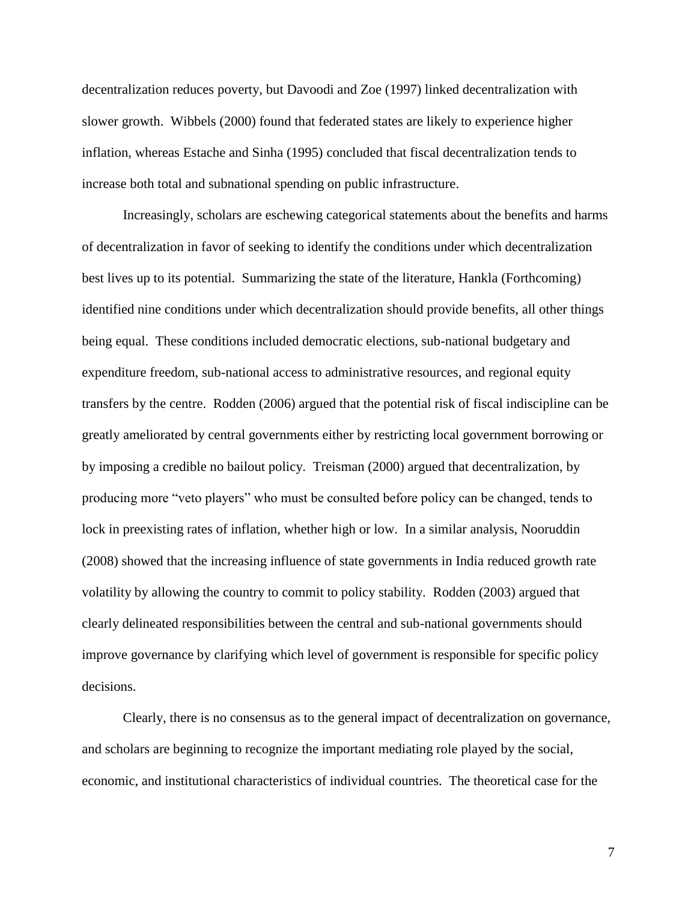decentralization reduces poverty, but Davoodi and Zoe (1997) linked decentralization with slower growth. Wibbels (2000) found that federated states are likely to experience higher inflation, whereas Estache and Sinha (1995) concluded that fiscal decentralization tends to increase both total and subnational spending on public infrastructure.

Increasingly, scholars are eschewing categorical statements about the benefits and harms of decentralization in favor of seeking to identify the conditions under which decentralization best lives up to its potential. Summarizing the state of the literature, Hankla (Forthcoming) identified nine conditions under which decentralization should provide benefits, all other things being equal. These conditions included democratic elections, sub-national budgetary and expenditure freedom, sub-national access to administrative resources, and regional equity transfers by the centre. Rodden (2006) argued that the potential risk of fiscal indiscipline can be greatly ameliorated by central governments either by restricting local government borrowing or by imposing a credible no bailout policy. Treisman (2000) argued that decentralization, by producing more "veto players" who must be consulted before policy can be changed, tends to lock in preexisting rates of inflation, whether high or low. In a similar analysis, Nooruddin (2008) showed that the increasing influence of state governments in India reduced growth rate volatility by allowing the country to commit to policy stability. Rodden (2003) argued that clearly delineated responsibilities between the central and sub-national governments should improve governance by clarifying which level of government is responsible for specific policy decisions.

Clearly, there is no consensus as to the general impact of decentralization on governance, and scholars are beginning to recognize the important mediating role played by the social, economic, and institutional characteristics of individual countries. The theoretical case for the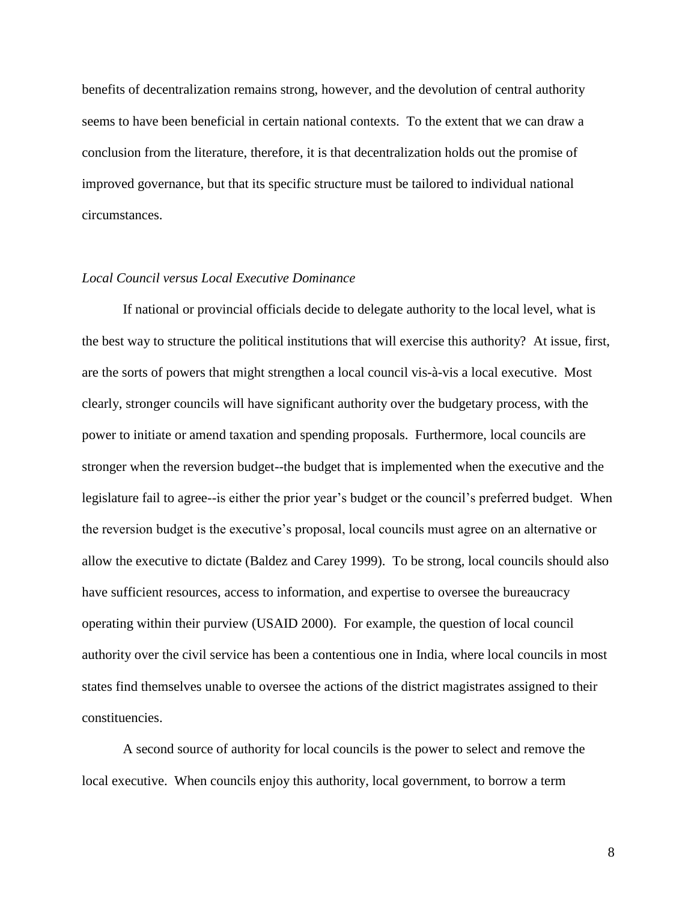benefits of decentralization remains strong, however, and the devolution of central authority seems to have been beneficial in certain national contexts. To the extent that we can draw a conclusion from the literature, therefore, it is that decentralization holds out the promise of improved governance, but that its specific structure must be tailored to individual national circumstances.

#### *Local Council versus Local Executive Dominance*

If national or provincial officials decide to delegate authority to the local level, what is the best way to structure the political institutions that will exercise this authority? At issue, first, are the sorts of powers that might strengthen a local council vis-à-vis a local executive. Most clearly, stronger councils will have significant authority over the budgetary process, with the power to initiate or amend taxation and spending proposals. Furthermore, local councils are stronger when the reversion budget--the budget that is implemented when the executive and the legislature fail to agree--is either the prior year's budget or the council's preferred budget. When the reversion budget is the executive's proposal, local councils must agree on an alternative or allow the executive to dictate (Baldez and Carey 1999). To be strong, local councils should also have sufficient resources, access to information, and expertise to oversee the bureaucracy operating within their purview (USAID 2000). For example, the question of local council authority over the civil service has been a contentious one in India, where local councils in most states find themselves unable to oversee the actions of the district magistrates assigned to their constituencies.

A second source of authority for local councils is the power to select and remove the local executive. When councils enjoy this authority, local government, to borrow a term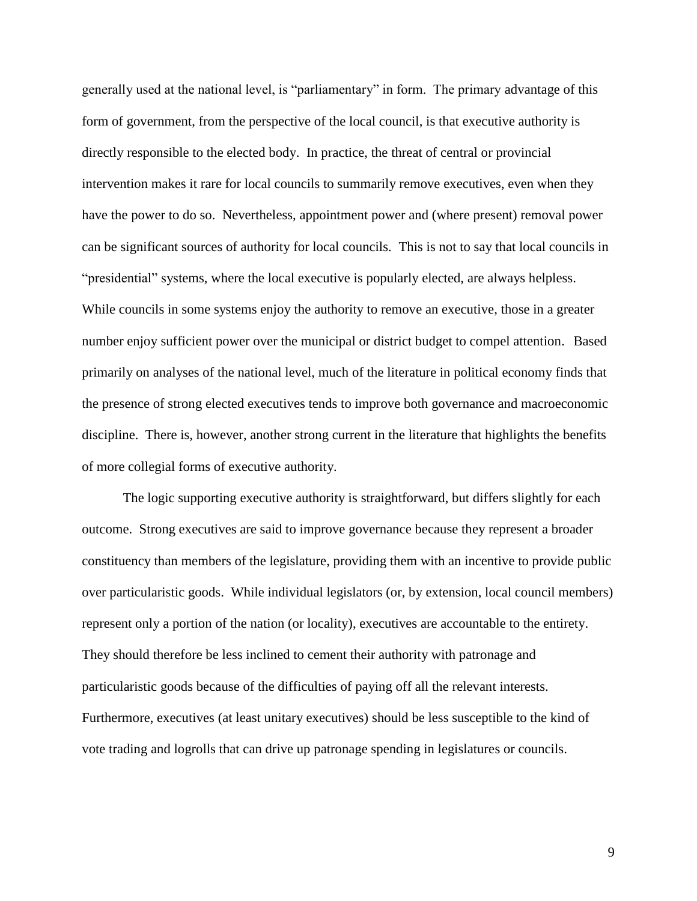generally used at the national level, is "parliamentary" in form. The primary advantage of this form of government, from the perspective of the local council, is that executive authority is directly responsible to the elected body. In practice, the threat of central or provincial intervention makes it rare for local councils to summarily remove executives, even when they have the power to do so. Nevertheless, appointment power and (where present) removal power can be significant sources of authority for local councils. This is not to say that local councils in "presidential" systems, where the local executive is popularly elected, are always helpless. While councils in some systems enjoy the authority to remove an executive, those in a greater number enjoy sufficient power over the municipal or district budget to compel attention. Based primarily on analyses of the national level, much of the literature in political economy finds that the presence of strong elected executives tends to improve both governance and macroeconomic discipline. There is, however, another strong current in the literature that highlights the benefits of more collegial forms of executive authority.

The logic supporting executive authority is straightforward, but differs slightly for each outcome. Strong executives are said to improve governance because they represent a broader constituency than members of the legislature, providing them with an incentive to provide public over particularistic goods. While individual legislators (or, by extension, local council members) represent only a portion of the nation (or locality), executives are accountable to the entirety. They should therefore be less inclined to cement their authority with patronage and particularistic goods because of the difficulties of paying off all the relevant interests. Furthermore, executives (at least unitary executives) should be less susceptible to the kind of vote trading and logrolls that can drive up patronage spending in legislatures or councils.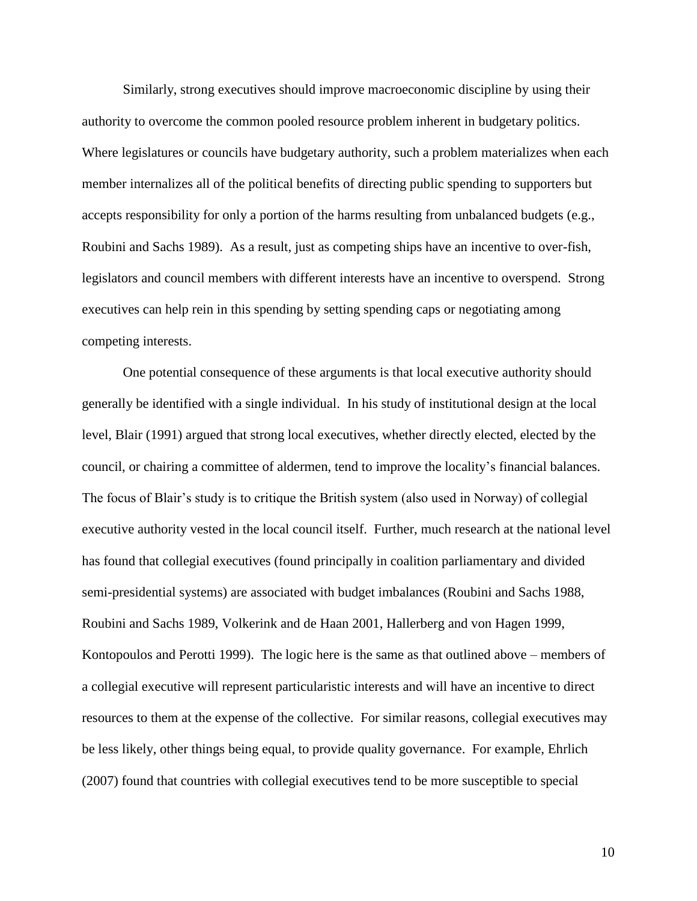Similarly, strong executives should improve macroeconomic discipline by using their authority to overcome the common pooled resource problem inherent in budgetary politics. Where legislatures or councils have budgetary authority, such a problem materializes when each member internalizes all of the political benefits of directing public spending to supporters but accepts responsibility for only a portion of the harms resulting from unbalanced budgets (e.g., Roubini and Sachs 1989). As a result, just as competing ships have an incentive to over-fish, legislators and council members with different interests have an incentive to overspend. Strong executives can help rein in this spending by setting spending caps or negotiating among competing interests.

One potential consequence of these arguments is that local executive authority should generally be identified with a single individual. In his study of institutional design at the local level, Blair (1991) argued that strong local executives, whether directly elected, elected by the council, or chairing a committee of aldermen, tend to improve the locality's financial balances. The focus of Blair's study is to critique the British system (also used in Norway) of collegial executive authority vested in the local council itself. Further, much research at the national level has found that collegial executives (found principally in coalition parliamentary and divided semi-presidential systems) are associated with budget imbalances (Roubini and Sachs 1988, Roubini and Sachs 1989, Volkerink and de Haan 2001, Hallerberg and von Hagen 1999, Kontopoulos and Perotti 1999). The logic here is the same as that outlined above – members of a collegial executive will represent particularistic interests and will have an incentive to direct resources to them at the expense of the collective. For similar reasons, collegial executives may be less likely, other things being equal, to provide quality governance. For example, Ehrlich (2007) found that countries with collegial executives tend to be more susceptible to special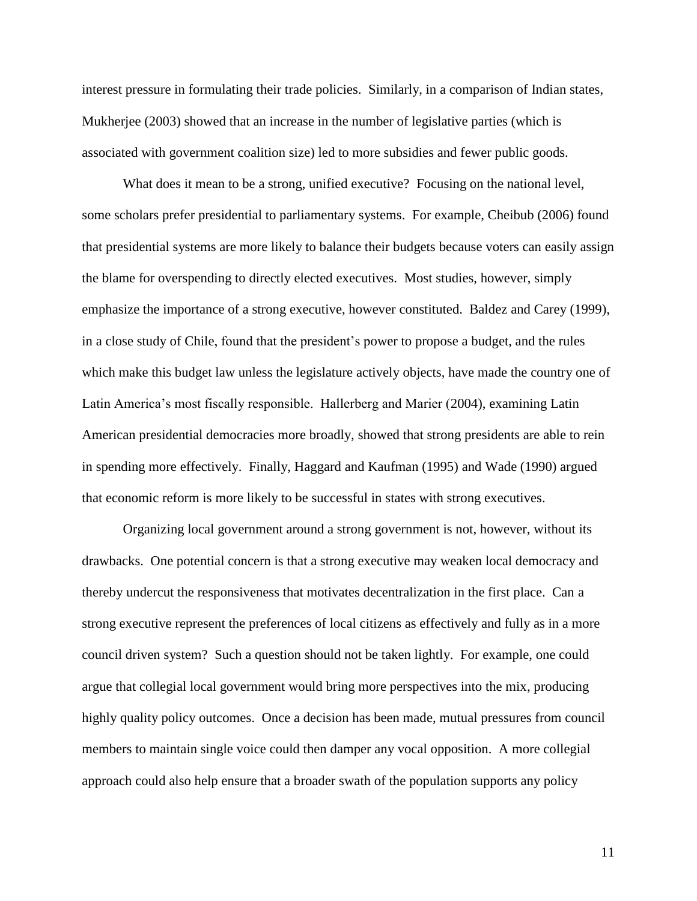interest pressure in formulating their trade policies. Similarly, in a comparison of Indian states, Mukherjee (2003) showed that an increase in the number of legislative parties (which is associated with government coalition size) led to more subsidies and fewer public goods.

What does it mean to be a strong, unified executive? Focusing on the national level, some scholars prefer presidential to parliamentary systems. For example, Cheibub (2006) found that presidential systems are more likely to balance their budgets because voters can easily assign the blame for overspending to directly elected executives. Most studies, however, simply emphasize the importance of a strong executive, however constituted. Baldez and Carey (1999), in a close study of Chile, found that the president's power to propose a budget, and the rules which make this budget law unless the legislature actively objects, have made the country one of Latin America's most fiscally responsible. Hallerberg and Marier (2004), examining Latin American presidential democracies more broadly, showed that strong presidents are able to rein in spending more effectively. Finally, Haggard and Kaufman (1995) and Wade (1990) argued that economic reform is more likely to be successful in states with strong executives.

Organizing local government around a strong government is not, however, without its drawbacks. One potential concern is that a strong executive may weaken local democracy and thereby undercut the responsiveness that motivates decentralization in the first place. Can a strong executive represent the preferences of local citizens as effectively and fully as in a more council driven system? Such a question should not be taken lightly. For example, one could argue that collegial local government would bring more perspectives into the mix, producing highly quality policy outcomes. Once a decision has been made, mutual pressures from council members to maintain single voice could then damper any vocal opposition. A more collegial approach could also help ensure that a broader swath of the population supports any policy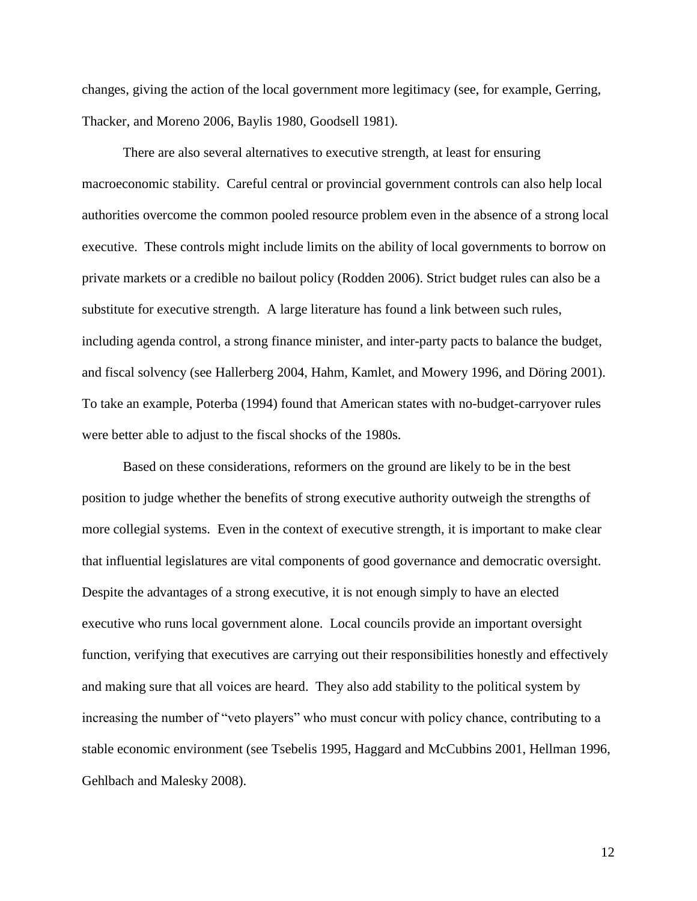changes, giving the action of the local government more legitimacy (see, for example, Gerring, Thacker, and Moreno 2006, Baylis 1980, Goodsell 1981).

There are also several alternatives to executive strength, at least for ensuring macroeconomic stability. Careful central or provincial government controls can also help local authorities overcome the common pooled resource problem even in the absence of a strong local executive. These controls might include limits on the ability of local governments to borrow on private markets or a credible no bailout policy (Rodden 2006). Strict budget rules can also be a substitute for executive strength. A large literature has found a link between such rules, including agenda control, a strong finance minister, and inter-party pacts to balance the budget, and fiscal solvency (see Hallerberg 2004, Hahm, Kamlet, and Mowery 1996, and Döring 2001). To take an example, Poterba (1994) found that American states with no-budget-carryover rules were better able to adjust to the fiscal shocks of the 1980s.

Based on these considerations, reformers on the ground are likely to be in the best position to judge whether the benefits of strong executive authority outweigh the strengths of more collegial systems. Even in the context of executive strength, it is important to make clear that influential legislatures are vital components of good governance and democratic oversight. Despite the advantages of a strong executive, it is not enough simply to have an elected executive who runs local government alone. Local councils provide an important oversight function, verifying that executives are carrying out their responsibilities honestly and effectively and making sure that all voices are heard. They also add stability to the political system by increasing the number of "veto players" who must concur with policy chance, contributing to a stable economic environment (see Tsebelis 1995, Haggard and McCubbins 2001, Hellman 1996, Gehlbach and Malesky 2008).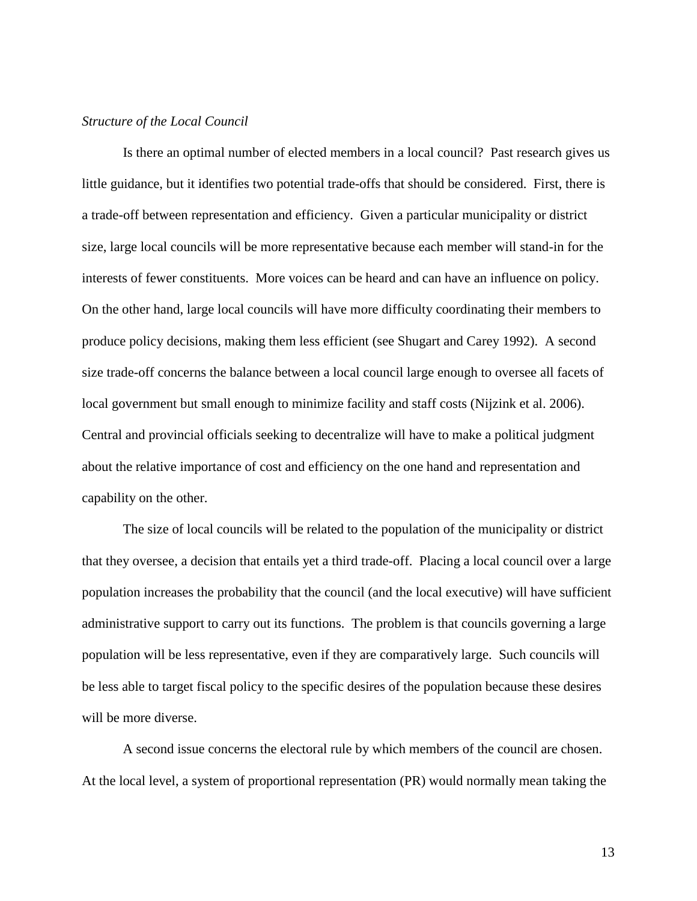#### *Structure of the Local Council*

Is there an optimal number of elected members in a local council? Past research gives us little guidance, but it identifies two potential trade-offs that should be considered. First, there is a trade-off between representation and efficiency. Given a particular municipality or district size, large local councils will be more representative because each member will stand-in for the interests of fewer constituents. More voices can be heard and can have an influence on policy. On the other hand, large local councils will have more difficulty coordinating their members to produce policy decisions, making them less efficient (see Shugart and Carey 1992). A second size trade-off concerns the balance between a local council large enough to oversee all facets of local government but small enough to minimize facility and staff costs (Nijzink et al. 2006). Central and provincial officials seeking to decentralize will have to make a political judgment about the relative importance of cost and efficiency on the one hand and representation and capability on the other.

The size of local councils will be related to the population of the municipality or district that they oversee, a decision that entails yet a third trade-off. Placing a local council over a large population increases the probability that the council (and the local executive) will have sufficient administrative support to carry out its functions. The problem is that councils governing a large population will be less representative, even if they are comparatively large. Such councils will be less able to target fiscal policy to the specific desires of the population because these desires will be more diverse.

A second issue concerns the electoral rule by which members of the council are chosen. At the local level, a system of proportional representation (PR) would normally mean taking the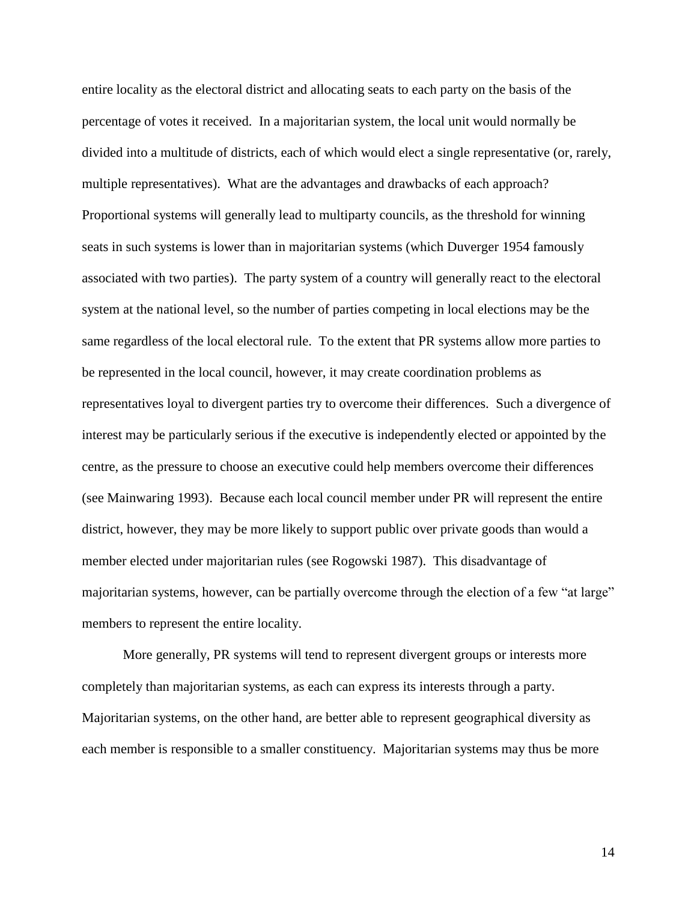entire locality as the electoral district and allocating seats to each party on the basis of the percentage of votes it received. In a majoritarian system, the local unit would normally be divided into a multitude of districts, each of which would elect a single representative (or, rarely, multiple representatives). What are the advantages and drawbacks of each approach? Proportional systems will generally lead to multiparty councils, as the threshold for winning seats in such systems is lower than in majoritarian systems (which Duverger 1954 famously associated with two parties). The party system of a country will generally react to the electoral system at the national level, so the number of parties competing in local elections may be the same regardless of the local electoral rule. To the extent that PR systems allow more parties to be represented in the local council, however, it may create coordination problems as representatives loyal to divergent parties try to overcome their differences. Such a divergence of interest may be particularly serious if the executive is independently elected or appointed by the centre, as the pressure to choose an executive could help members overcome their differences (see Mainwaring 1993). Because each local council member under PR will represent the entire district, however, they may be more likely to support public over private goods than would a member elected under majoritarian rules (see Rogowski 1987). This disadvantage of majoritarian systems, however, can be partially overcome through the election of a few "at large" members to represent the entire locality.

More generally, PR systems will tend to represent divergent groups or interests more completely than majoritarian systems, as each can express its interests through a party. Majoritarian systems, on the other hand, are better able to represent geographical diversity as each member is responsible to a smaller constituency. Majoritarian systems may thus be more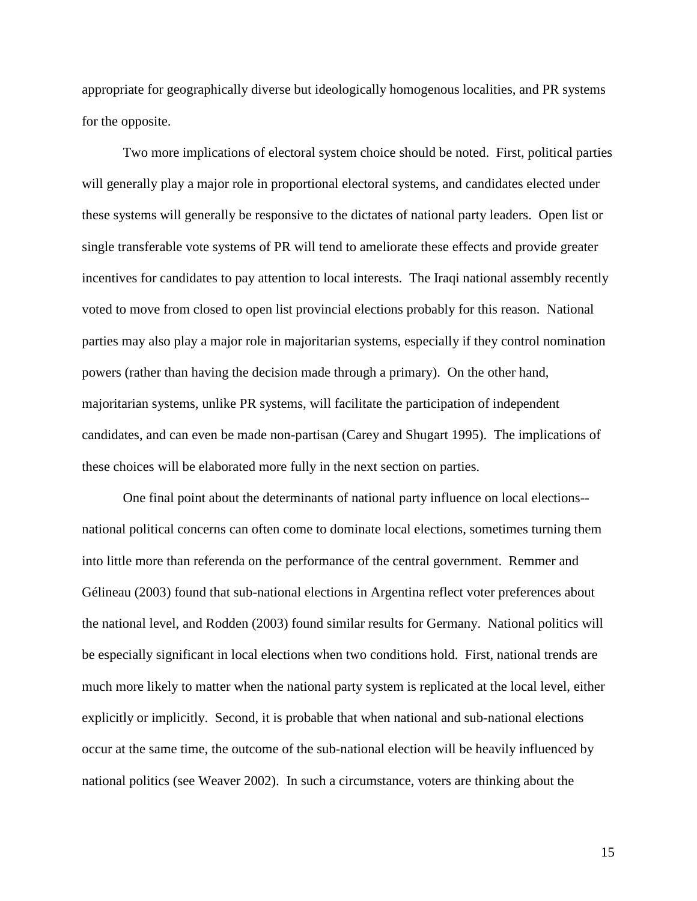appropriate for geographically diverse but ideologically homogenous localities, and PR systems for the opposite.

Two more implications of electoral system choice should be noted. First, political parties will generally play a major role in proportional electoral systems, and candidates elected under these systems will generally be responsive to the dictates of national party leaders. Open list or single transferable vote systems of PR will tend to ameliorate these effects and provide greater incentives for candidates to pay attention to local interests. The Iraqi national assembly recently voted to move from closed to open list provincial elections probably for this reason. National parties may also play a major role in majoritarian systems, especially if they control nomination powers (rather than having the decision made through a primary). On the other hand, majoritarian systems, unlike PR systems, will facilitate the participation of independent candidates, and can even be made non-partisan (Carey and Shugart 1995). The implications of these choices will be elaborated more fully in the next section on parties.

One final point about the determinants of national party influence on local elections- national political concerns can often come to dominate local elections, sometimes turning them into little more than referenda on the performance of the central government. Remmer and Gélineau (2003) found that sub-national elections in Argentina reflect voter preferences about the national level, and Rodden (2003) found similar results for Germany. National politics will be especially significant in local elections when two conditions hold. First, national trends are much more likely to matter when the national party system is replicated at the local level, either explicitly or implicitly. Second, it is probable that when national and sub-national elections occur at the same time, the outcome of the sub-national election will be heavily influenced by national politics (see Weaver 2002). In such a circumstance, voters are thinking about the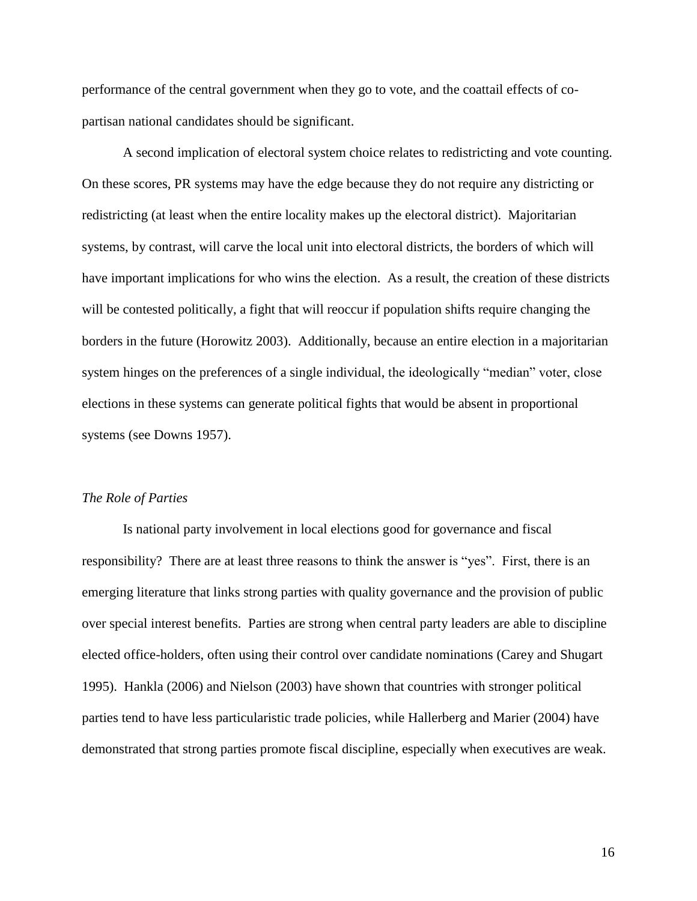performance of the central government when they go to vote, and the coattail effects of copartisan national candidates should be significant.

A second implication of electoral system choice relates to redistricting and vote counting. On these scores, PR systems may have the edge because they do not require any districting or redistricting (at least when the entire locality makes up the electoral district). Majoritarian systems, by contrast, will carve the local unit into electoral districts, the borders of which will have important implications for who wins the election. As a result, the creation of these districts will be contested politically, a fight that will reoccur if population shifts require changing the borders in the future (Horowitz 2003). Additionally, because an entire election in a majoritarian system hinges on the preferences of a single individual, the ideologically "median" voter, close elections in these systems can generate political fights that would be absent in proportional systems (see Downs 1957).

#### *The Role of Parties*

Is national party involvement in local elections good for governance and fiscal responsibility? There are at least three reasons to think the answer is "yes". First, there is an emerging literature that links strong parties with quality governance and the provision of public over special interest benefits. Parties are strong when central party leaders are able to discipline elected office-holders, often using their control over candidate nominations (Carey and Shugart 1995). Hankla (2006) and Nielson (2003) have shown that countries with stronger political parties tend to have less particularistic trade policies, while Hallerberg and Marier (2004) have demonstrated that strong parties promote fiscal discipline, especially when executives are weak.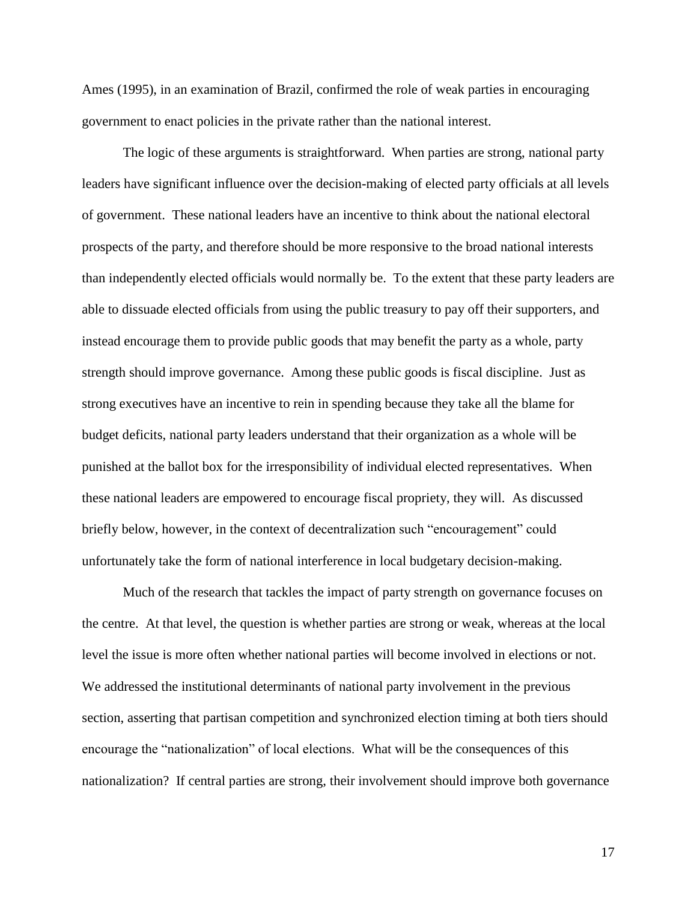Ames (1995), in an examination of Brazil, confirmed the role of weak parties in encouraging government to enact policies in the private rather than the national interest.

The logic of these arguments is straightforward. When parties are strong, national party leaders have significant influence over the decision-making of elected party officials at all levels of government. These national leaders have an incentive to think about the national electoral prospects of the party, and therefore should be more responsive to the broad national interests than independently elected officials would normally be. To the extent that these party leaders are able to dissuade elected officials from using the public treasury to pay off their supporters, and instead encourage them to provide public goods that may benefit the party as a whole, party strength should improve governance. Among these public goods is fiscal discipline. Just as strong executives have an incentive to rein in spending because they take all the blame for budget deficits, national party leaders understand that their organization as a whole will be punished at the ballot box for the irresponsibility of individual elected representatives. When these national leaders are empowered to encourage fiscal propriety, they will. As discussed briefly below, however, in the context of decentralization such "encouragement" could unfortunately take the form of national interference in local budgetary decision-making.

Much of the research that tackles the impact of party strength on governance focuses on the centre. At that level, the question is whether parties are strong or weak, whereas at the local level the issue is more often whether national parties will become involved in elections or not. We addressed the institutional determinants of national party involvement in the previous section, asserting that partisan competition and synchronized election timing at both tiers should encourage the "nationalization" of local elections. What will be the consequences of this nationalization? If central parties are strong, their involvement should improve both governance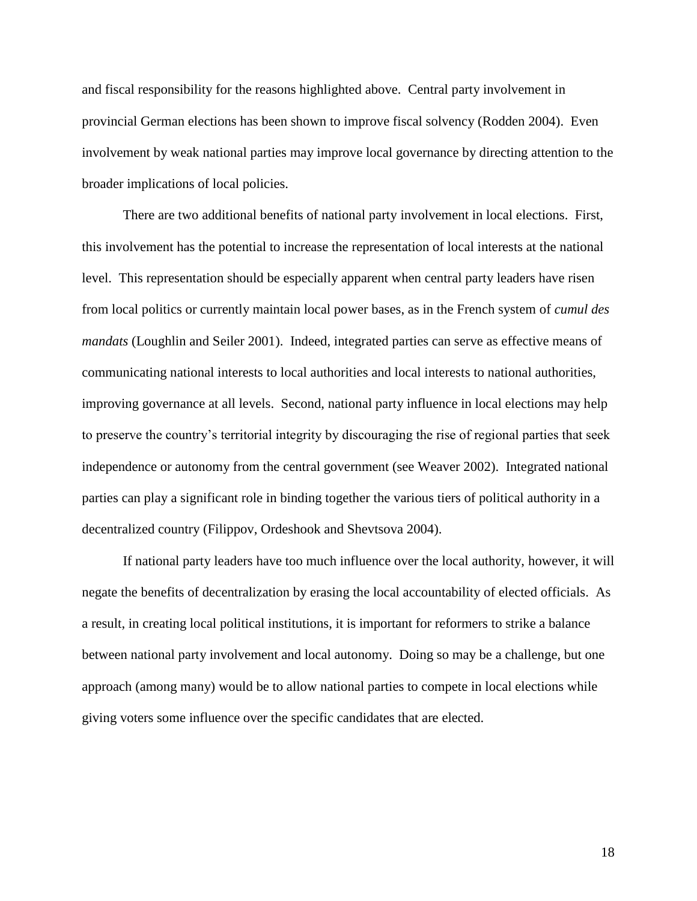and fiscal responsibility for the reasons highlighted above. Central party involvement in provincial German elections has been shown to improve fiscal solvency (Rodden 2004). Even involvement by weak national parties may improve local governance by directing attention to the broader implications of local policies.

There are two additional benefits of national party involvement in local elections. First, this involvement has the potential to increase the representation of local interests at the national level. This representation should be especially apparent when central party leaders have risen from local politics or currently maintain local power bases, as in the French system of *cumul des mandats* (Loughlin and Seiler 2001). Indeed, integrated parties can serve as effective means of communicating national interests to local authorities and local interests to national authorities, improving governance at all levels. Second, national party influence in local elections may help to preserve the country's territorial integrity by discouraging the rise of regional parties that seek independence or autonomy from the central government (see Weaver 2002). Integrated national parties can play a significant role in binding together the various tiers of political authority in a decentralized country (Filippov, Ordeshook and Shevtsova 2004).

If national party leaders have too much influence over the local authority, however, it will negate the benefits of decentralization by erasing the local accountability of elected officials. As a result, in creating local political institutions, it is important for reformers to strike a balance between national party involvement and local autonomy. Doing so may be a challenge, but one approach (among many) would be to allow national parties to compete in local elections while giving voters some influence over the specific candidates that are elected.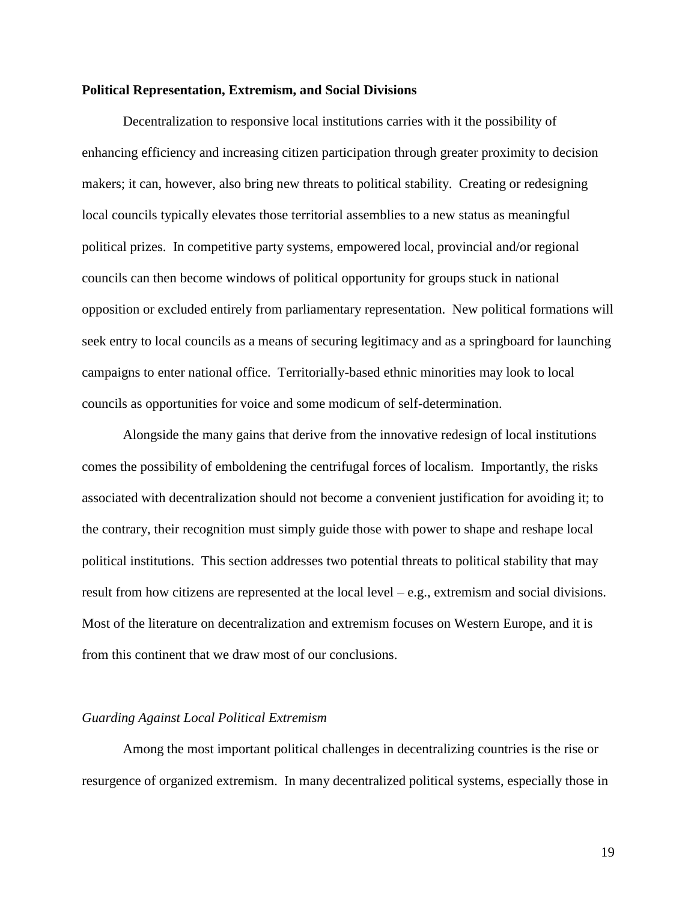#### **Political Representation, Extremism, and Social Divisions**

Decentralization to responsive local institutions carries with it the possibility of enhancing efficiency and increasing citizen participation through greater proximity to decision makers; it can, however, also bring new threats to political stability. Creating or redesigning local councils typically elevates those territorial assemblies to a new status as meaningful political prizes. In competitive party systems, empowered local, provincial and/or regional councils can then become windows of political opportunity for groups stuck in national opposition or excluded entirely from parliamentary representation. New political formations will seek entry to local councils as a means of securing legitimacy and as a springboard for launching campaigns to enter national office. Territorially-based ethnic minorities may look to local councils as opportunities for voice and some modicum of self-determination.

Alongside the many gains that derive from the innovative redesign of local institutions comes the possibility of emboldening the centrifugal forces of localism. Importantly, the risks associated with decentralization should not become a convenient justification for avoiding it; to the contrary, their recognition must simply guide those with power to shape and reshape local political institutions. This section addresses two potential threats to political stability that may result from how citizens are represented at the local level – e.g., extremism and social divisions. Most of the literature on decentralization and extremism focuses on Western Europe, and it is from this continent that we draw most of our conclusions.

#### *Guarding Against Local Political Extremism*

Among the most important political challenges in decentralizing countries is the rise or resurgence of organized extremism. In many decentralized political systems, especially those in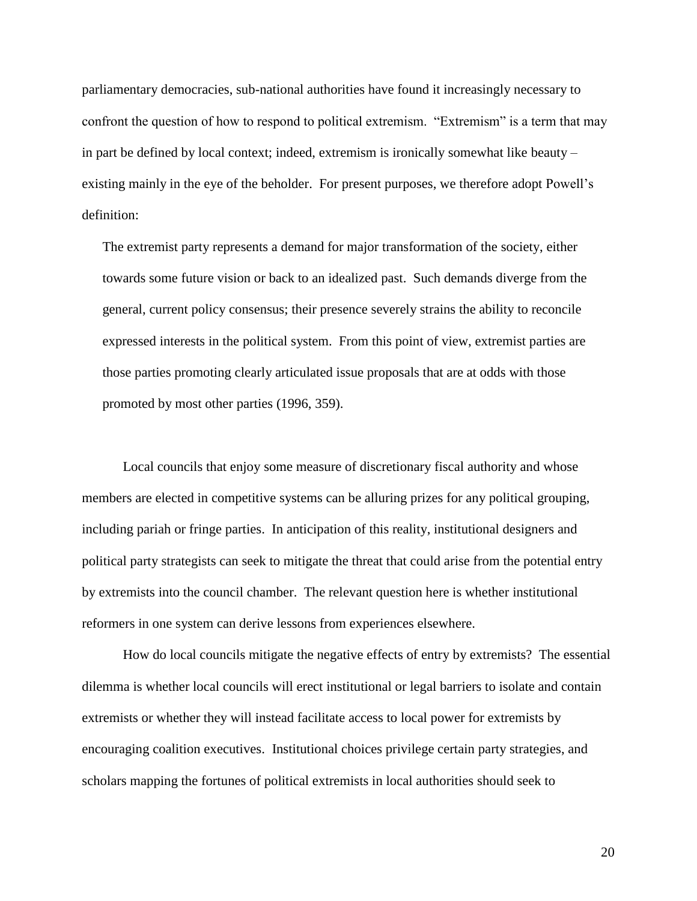parliamentary democracies, sub-national authorities have found it increasingly necessary to confront the question of how to respond to political extremism. "Extremism" is a term that may in part be defined by local context; indeed, extremism is ironically somewhat like beauty – existing mainly in the eye of the beholder. For present purposes, we therefore adopt Powell's definition:

The extremist party represents a demand for major transformation of the society, either towards some future vision or back to an idealized past. Such demands diverge from the general, current policy consensus; their presence severely strains the ability to reconcile expressed interests in the political system. From this point of view, extremist parties are those parties promoting clearly articulated issue proposals that are at odds with those promoted by most other parties (1996, 359).

Local councils that enjoy some measure of discretionary fiscal authority and whose members are elected in competitive systems can be alluring prizes for any political grouping, including pariah or fringe parties. In anticipation of this reality, institutional designers and political party strategists can seek to mitigate the threat that could arise from the potential entry by extremists into the council chamber. The relevant question here is whether institutional reformers in one system can derive lessons from experiences elsewhere.

How do local councils mitigate the negative effects of entry by extremists? The essential dilemma is whether local councils will erect institutional or legal barriers to isolate and contain extremists or whether they will instead facilitate access to local power for extremists by encouraging coalition executives. Institutional choices privilege certain party strategies, and scholars mapping the fortunes of political extremists in local authorities should seek to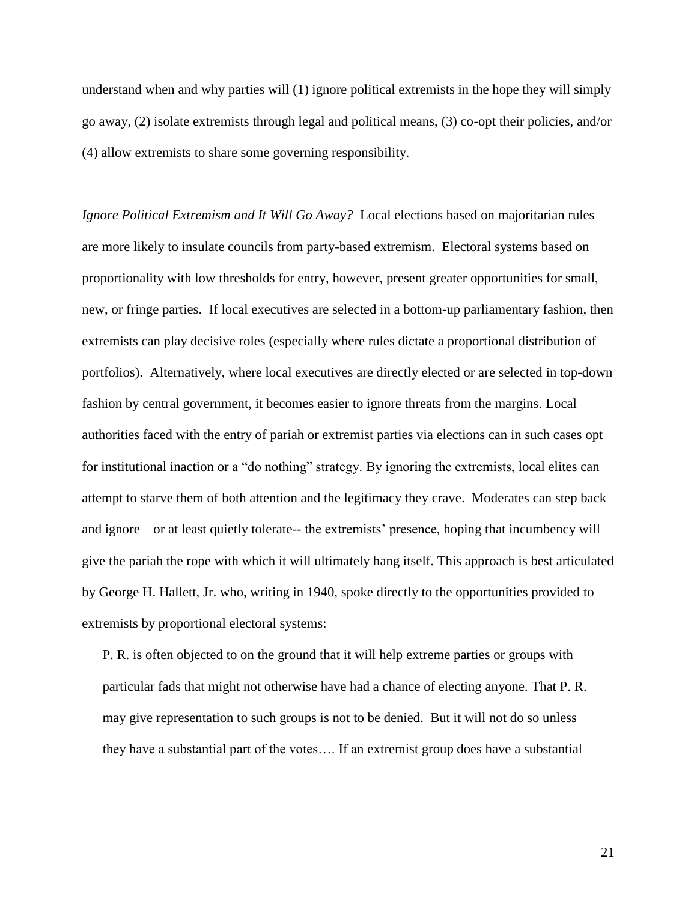understand when and why parties will (1) ignore political extremists in the hope they will simply go away, (2) isolate extremists through legal and political means, (3) co-opt their policies, and/or (4) allow extremists to share some governing responsibility.

*Ignore Political Extremism and It Will Go Away?* Local elections based on majoritarian rules are more likely to insulate councils from party-based extremism. Electoral systems based on proportionality with low thresholds for entry, however, present greater opportunities for small, new, or fringe parties. If local executives are selected in a bottom-up parliamentary fashion, then extremists can play decisive roles (especially where rules dictate a proportional distribution of portfolios). Alternatively, where local executives are directly elected or are selected in top-down fashion by central government, it becomes easier to ignore threats from the margins. Local authorities faced with the entry of pariah or extremist parties via elections can in such cases opt for institutional inaction or a "do nothing" strategy. By ignoring the extremists, local elites can attempt to starve them of both attention and the legitimacy they crave. Moderates can step back and ignore—or at least quietly tolerate-- the extremists' presence, hoping that incumbency will give the pariah the rope with which it will ultimately hang itself. This approach is best articulated by George H. Hallett, Jr. who, writing in 1940, spoke directly to the opportunities provided to extremists by proportional electoral systems:

P. R. is often objected to on the ground that it will help extreme parties or groups with particular fads that might not otherwise have had a chance of electing anyone. That P. R. may give representation to such groups is not to be denied. But it will not do so unless they have a substantial part of the votes…. If an extremist group does have a substantial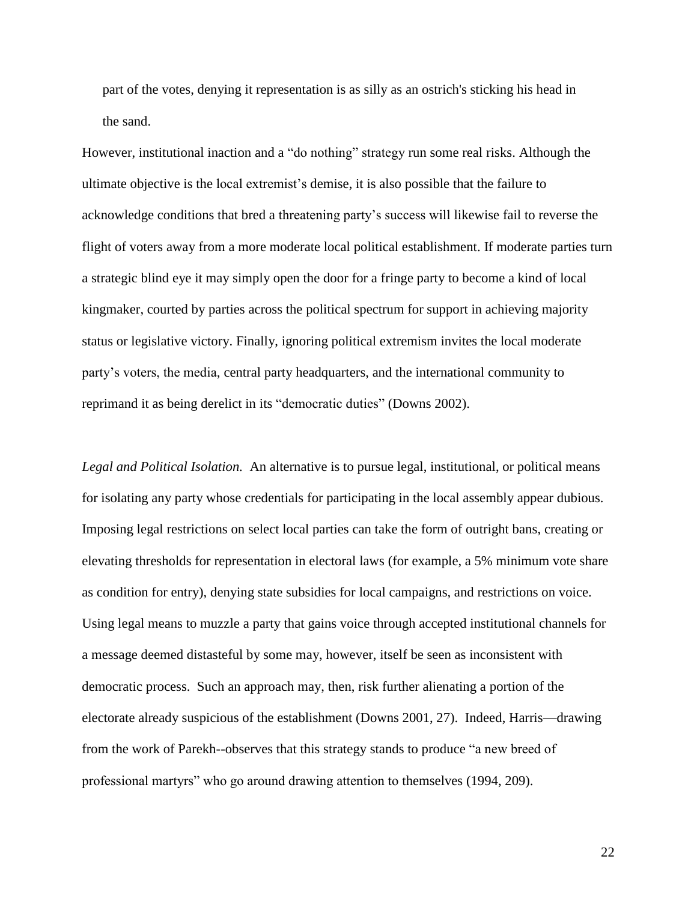part of the votes, denying it representation is as silly as an ostrich's sticking his head in the sand.

However, institutional inaction and a "do nothing" strategy run some real risks. Although the ultimate objective is the local extremist's demise, it is also possible that the failure to acknowledge conditions that bred a threatening party's success will likewise fail to reverse the flight of voters away from a more moderate local political establishment. If moderate parties turn a strategic blind eye it may simply open the door for a fringe party to become a kind of local kingmaker, courted by parties across the political spectrum for support in achieving majority status or legislative victory. Finally, ignoring political extremism invites the local moderate party's voters, the media, central party headquarters, and the international community to reprimand it as being derelict in its "democratic duties" (Downs 2002).

*Legal and Political Isolation.* An alternative is to pursue legal, institutional, or political means for isolating any party whose credentials for participating in the local assembly appear dubious. Imposing legal restrictions on select local parties can take the form of outright bans, creating or elevating thresholds for representation in electoral laws (for example, a 5% minimum vote share as condition for entry), denying state subsidies for local campaigns, and restrictions on voice. Using legal means to muzzle a party that gains voice through accepted institutional channels for a message deemed distasteful by some may, however, itself be seen as inconsistent with democratic process. Such an approach may, then, risk further alienating a portion of the electorate already suspicious of the establishment (Downs 2001, 27). Indeed, Harris—drawing from the work of Parekh--observes that this strategy stands to produce "a new breed of professional martyrs" who go around drawing attention to themselves (1994, 209).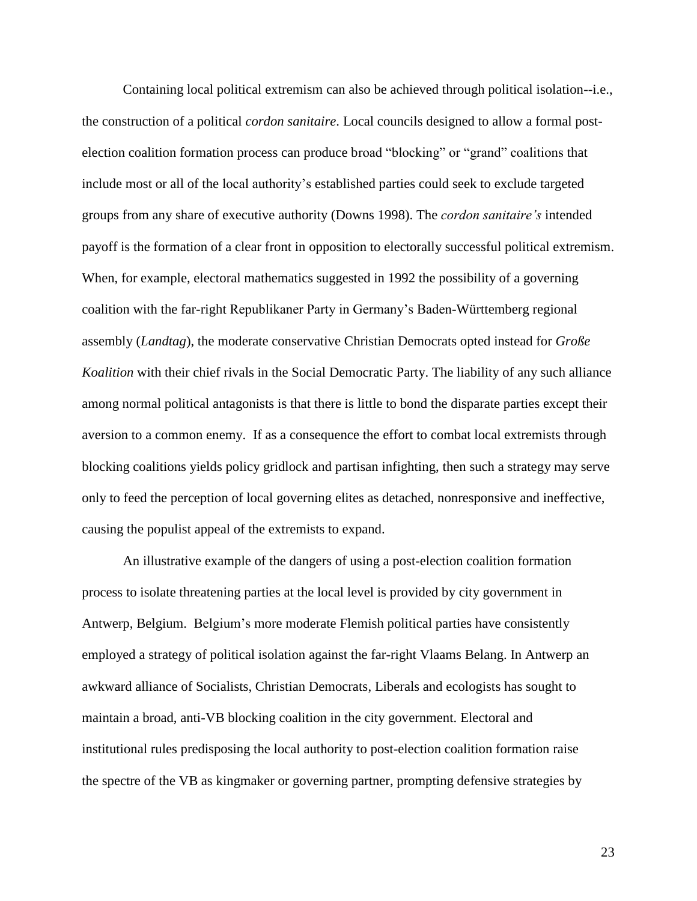Containing local political extremism can also be achieved through political isolation--i.e., the construction of a political *cordon sanitaire*. Local councils designed to allow a formal postelection coalition formation process can produce broad "blocking" or "grand" coalitions that include most or all of the local authority's established parties could seek to exclude targeted groups from any share of executive authority (Downs 1998). The *cordon sanitaire's* intended payoff is the formation of a clear front in opposition to electorally successful political extremism. When, for example, electoral mathematics suggested in 1992 the possibility of a governing coalition with the far-right Republikaner Party in Germany's Baden-Württemberg regional assembly (*Landtag*), the moderate conservative Christian Democrats opted instead for *Große Koalition* with their chief rivals in the Social Democratic Party. The liability of any such alliance among normal political antagonists is that there is little to bond the disparate parties except their aversion to a common enemy. If as a consequence the effort to combat local extremists through blocking coalitions yields policy gridlock and partisan infighting, then such a strategy may serve only to feed the perception of local governing elites as detached, nonresponsive and ineffective, causing the populist appeal of the extremists to expand.

An illustrative example of the dangers of using a post-election coalition formation process to isolate threatening parties at the local level is provided by city government in Antwerp, Belgium. Belgium's more moderate Flemish political parties have consistently employed a strategy of political isolation against the far-right Vlaams Belang. In Antwerp an awkward alliance of Socialists, Christian Democrats, Liberals and ecologists has sought to maintain a broad, anti-VB blocking coalition in the city government. Electoral and institutional rules predisposing the local authority to post-election coalition formation raise the spectre of the VB as kingmaker or governing partner, prompting defensive strategies by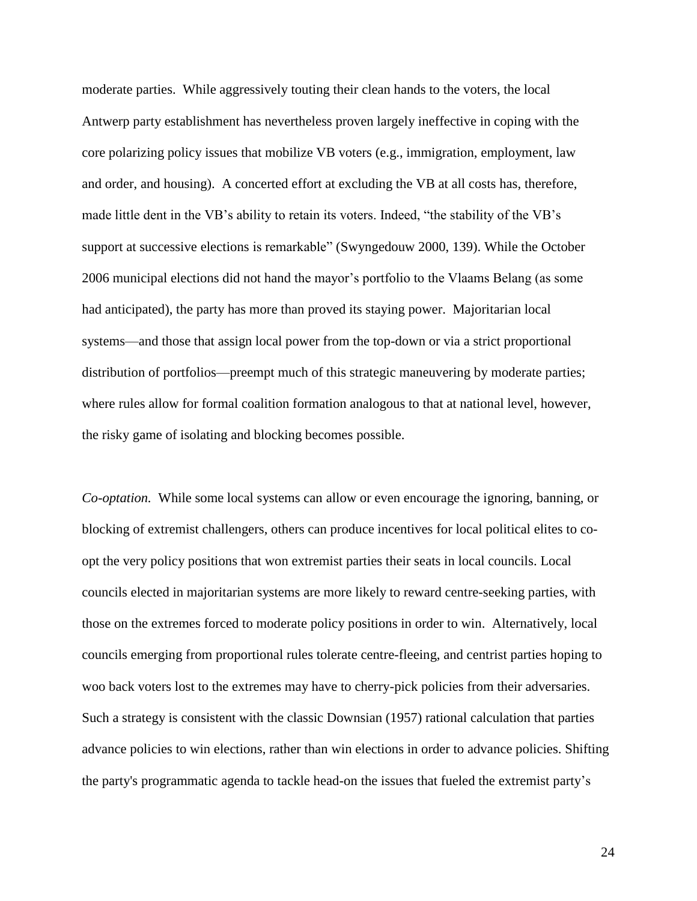moderate parties. While aggressively touting their clean hands to the voters, the local Antwerp party establishment has nevertheless proven largely ineffective in coping with the core polarizing policy issues that mobilize VB voters (e.g., immigration, employment, law and order, and housing). A concerted effort at excluding the VB at all costs has, therefore, made little dent in the VB's ability to retain its voters. Indeed, "the stability of the VB's support at successive elections is remarkable" (Swyngedouw 2000, 139). While the October 2006 municipal elections did not hand the mayor's portfolio to the Vlaams Belang (as some had anticipated), the party has more than proved its staying power. Majoritarian local systems—and those that assign local power from the top-down or via a strict proportional distribution of portfolios—preempt much of this strategic maneuvering by moderate parties; where rules allow for formal coalition formation analogous to that at national level, however, the risky game of isolating and blocking becomes possible.

*Co-optation.* While some local systems can allow or even encourage the ignoring, banning, or blocking of extremist challengers, others can produce incentives for local political elites to coopt the very policy positions that won extremist parties their seats in local councils. Local councils elected in majoritarian systems are more likely to reward centre-seeking parties, with those on the extremes forced to moderate policy positions in order to win. Alternatively, local councils emerging from proportional rules tolerate centre-fleeing, and centrist parties hoping to woo back voters lost to the extremes may have to cherry-pick policies from their adversaries. Such a strategy is consistent with the classic Downsian (1957) rational calculation that parties advance policies to win elections, rather than win elections in order to advance policies. Shifting the party's programmatic agenda to tackle head-on the issues that fueled the extremist party's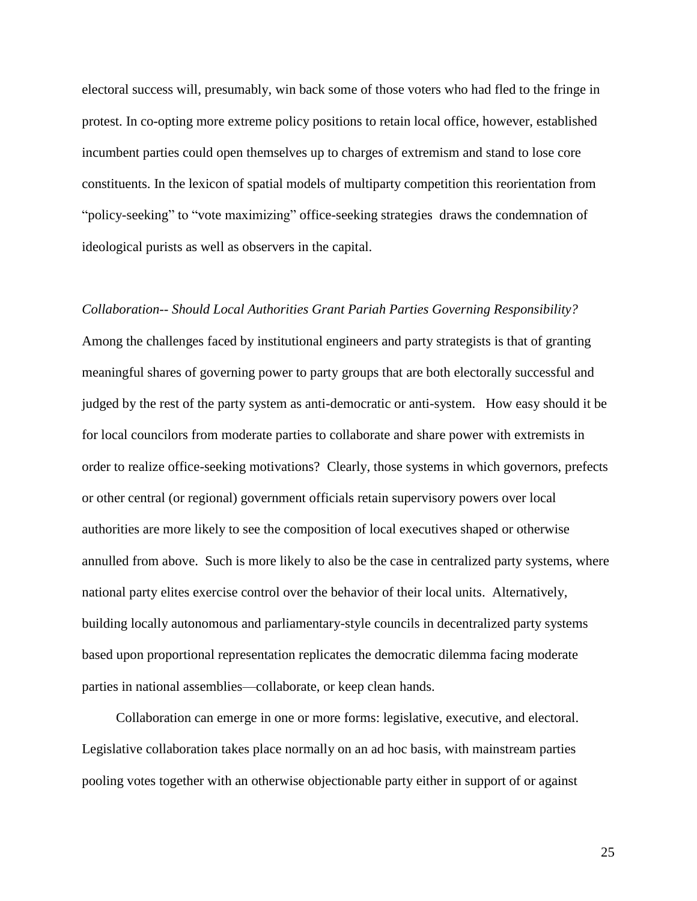electoral success will, presumably, win back some of those voters who had fled to the fringe in protest. In co-opting more extreme policy positions to retain local office, however, established incumbent parties could open themselves up to charges of extremism and stand to lose core constituents. In the lexicon of spatial models of multiparty competition this reorientation from "policy-seeking" to "vote maximizing" office-seeking strategies draws the condemnation of ideological purists as well as observers in the capital.

# *Collaboration-- Should Local Authorities Grant Pariah Parties Governing Responsibility?* Among the challenges faced by institutional engineers and party strategists is that of granting meaningful shares of governing power to party groups that are both electorally successful and judged by the rest of the party system as anti-democratic or anti-system. How easy should it be for local councilors from moderate parties to collaborate and share power with extremists in order to realize office-seeking motivations? Clearly, those systems in which governors, prefects or other central (or regional) government officials retain supervisory powers over local authorities are more likely to see the composition of local executives shaped or otherwise annulled from above. Such is more likely to also be the case in centralized party systems, where national party elites exercise control over the behavior of their local units. Alternatively, building locally autonomous and parliamentary-style councils in decentralized party systems based upon proportional representation replicates the democratic dilemma facing moderate parties in national assemblies—collaborate, or keep clean hands.

 Collaboration can emerge in one or more forms: legislative, executive, and electoral. Legislative collaboration takes place normally on an ad hoc basis, with mainstream parties pooling votes together with an otherwise objectionable party either in support of or against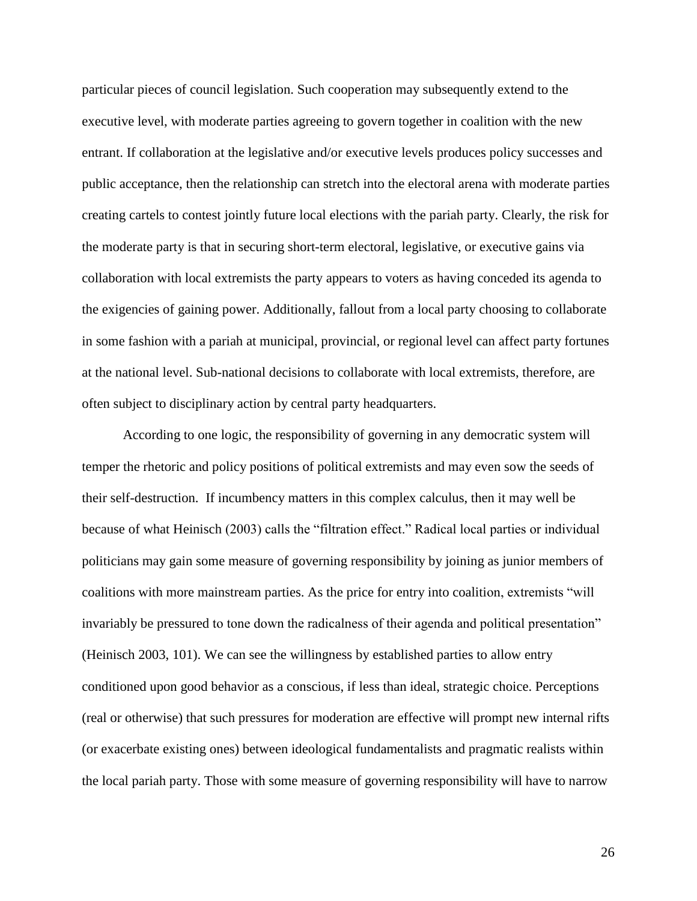particular pieces of council legislation. Such cooperation may subsequently extend to the executive level, with moderate parties agreeing to govern together in coalition with the new entrant. If collaboration at the legislative and/or executive levels produces policy successes and public acceptance, then the relationship can stretch into the electoral arena with moderate parties creating cartels to contest jointly future local elections with the pariah party. Clearly, the risk for the moderate party is that in securing short-term electoral, legislative, or executive gains via collaboration with local extremists the party appears to voters as having conceded its agenda to the exigencies of gaining power. Additionally, fallout from a local party choosing to collaborate in some fashion with a pariah at municipal, provincial, or regional level can affect party fortunes at the national level. Sub-national decisions to collaborate with local extremists, therefore, are often subject to disciplinary action by central party headquarters.

According to one logic, the responsibility of governing in any democratic system will temper the rhetoric and policy positions of political extremists and may even sow the seeds of their self-destruction. If incumbency matters in this complex calculus, then it may well be because of what Heinisch (2003) calls the "filtration effect." Radical local parties or individual politicians may gain some measure of governing responsibility by joining as junior members of coalitions with more mainstream parties. As the price for entry into coalition, extremists "will invariably be pressured to tone down the radicalness of their agenda and political presentation" (Heinisch 2003, 101). We can see the willingness by established parties to allow entry conditioned upon good behavior as a conscious, if less than ideal, strategic choice. Perceptions (real or otherwise) that such pressures for moderation are effective will prompt new internal rifts (or exacerbate existing ones) between ideological fundamentalists and pragmatic realists within the local pariah party. Those with some measure of governing responsibility will have to narrow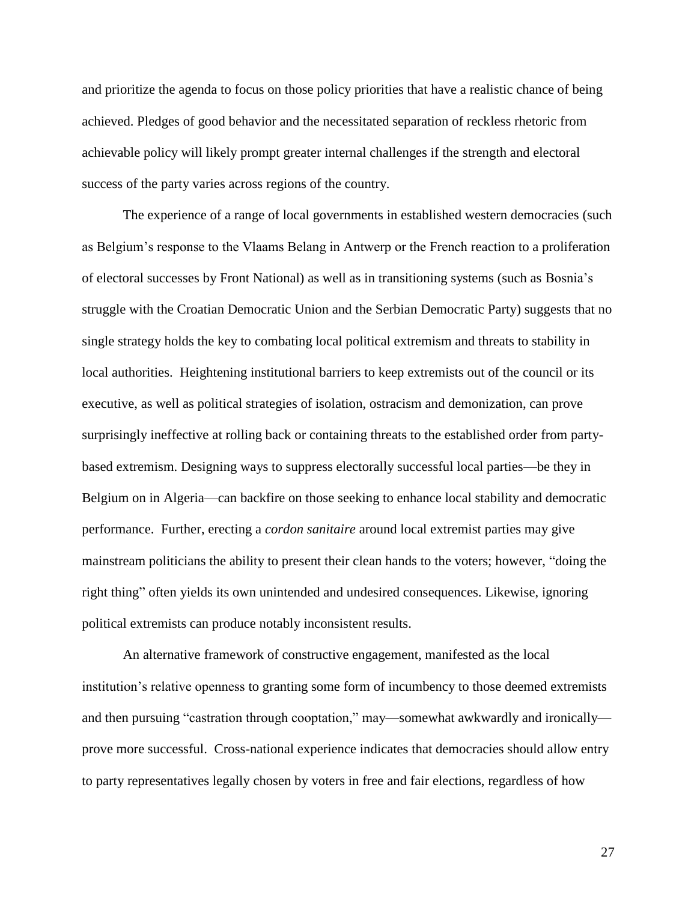and prioritize the agenda to focus on those policy priorities that have a realistic chance of being achieved. Pledges of good behavior and the necessitated separation of reckless rhetoric from achievable policy will likely prompt greater internal challenges if the strength and electoral success of the party varies across regions of the country.

The experience of a range of local governments in established western democracies (such as Belgium's response to the Vlaams Belang in Antwerp or the French reaction to a proliferation of electoral successes by Front National) as well as in transitioning systems (such as Bosnia's struggle with the Croatian Democratic Union and the Serbian Democratic Party) suggests that no single strategy holds the key to combating local political extremism and threats to stability in local authorities. Heightening institutional barriers to keep extremists out of the council or its executive, as well as political strategies of isolation, ostracism and demonization, can prove surprisingly ineffective at rolling back or containing threats to the established order from partybased extremism. Designing ways to suppress electorally successful local parties—be they in Belgium on in Algeria—can backfire on those seeking to enhance local stability and democratic performance. Further, erecting a *cordon sanitaire* around local extremist parties may give mainstream politicians the ability to present their clean hands to the voters; however, "doing the right thing" often yields its own unintended and undesired consequences. Likewise, ignoring political extremists can produce notably inconsistent results.

An alternative framework of constructive engagement, manifested as the local institution's relative openness to granting some form of incumbency to those deemed extremists and then pursuing "castration through cooptation," may—somewhat awkwardly and ironically prove more successful. Cross-national experience indicates that democracies should allow entry to party representatives legally chosen by voters in free and fair elections, regardless of how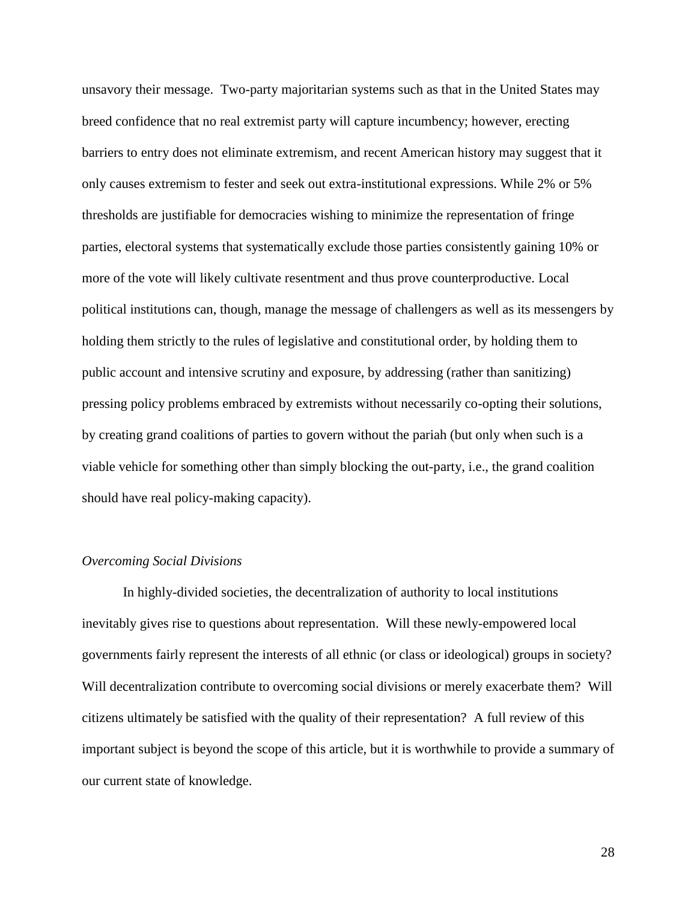unsavory their message. Two-party majoritarian systems such as that in the United States may breed confidence that no real extremist party will capture incumbency; however, erecting barriers to entry does not eliminate extremism, and recent American history may suggest that it only causes extremism to fester and seek out extra-institutional expressions. While 2% or 5% thresholds are justifiable for democracies wishing to minimize the representation of fringe parties, electoral systems that systematically exclude those parties consistently gaining 10% or more of the vote will likely cultivate resentment and thus prove counterproductive. Local political institutions can, though, manage the message of challengers as well as its messengers by holding them strictly to the rules of legislative and constitutional order, by holding them to public account and intensive scrutiny and exposure, by addressing (rather than sanitizing) pressing policy problems embraced by extremists without necessarily co-opting their solutions, by creating grand coalitions of parties to govern without the pariah (but only when such is a viable vehicle for something other than simply blocking the out-party, i.e., the grand coalition should have real policy-making capacity).

#### *Overcoming Social Divisions*

In highly-divided societies, the decentralization of authority to local institutions inevitably gives rise to questions about representation. Will these newly-empowered local governments fairly represent the interests of all ethnic (or class or ideological) groups in society? Will decentralization contribute to overcoming social divisions or merely exacerbate them? Will citizens ultimately be satisfied with the quality of their representation? A full review of this important subject is beyond the scope of this article, but it is worthwhile to provide a summary of our current state of knowledge.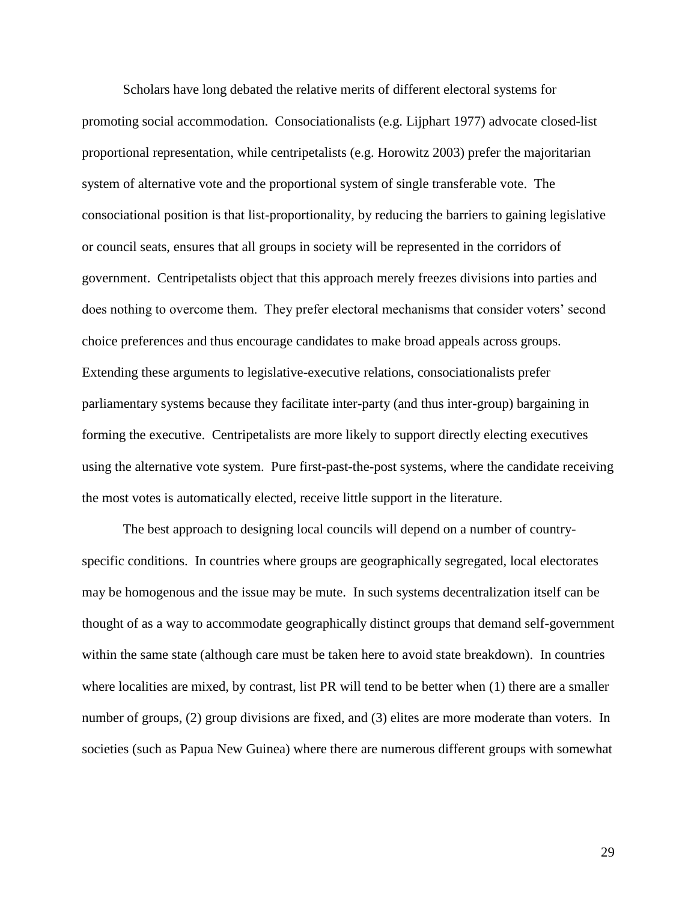Scholars have long debated the relative merits of different electoral systems for promoting social accommodation. Consociationalists (e.g. Lijphart 1977) advocate closed-list proportional representation, while centripetalists (e.g. Horowitz 2003) prefer the majoritarian system of alternative vote and the proportional system of single transferable vote. The consociational position is that list-proportionality, by reducing the barriers to gaining legislative or council seats, ensures that all groups in society will be represented in the corridors of government. Centripetalists object that this approach merely freezes divisions into parties and does nothing to overcome them. They prefer electoral mechanisms that consider voters' second choice preferences and thus encourage candidates to make broad appeals across groups. Extending these arguments to legislative-executive relations, consociationalists prefer parliamentary systems because they facilitate inter-party (and thus inter-group) bargaining in forming the executive. Centripetalists are more likely to support directly electing executives using the alternative vote system. Pure first-past-the-post systems, where the candidate receiving the most votes is automatically elected, receive little support in the literature.

The best approach to designing local councils will depend on a number of countryspecific conditions. In countries where groups are geographically segregated, local electorates may be homogenous and the issue may be mute. In such systems decentralization itself can be thought of as a way to accommodate geographically distinct groups that demand self-government within the same state (although care must be taken here to avoid state breakdown). In countries where localities are mixed, by contrast, list PR will tend to be better when  $(1)$  there are a smaller number of groups, (2) group divisions are fixed, and (3) elites are more moderate than voters. In societies (such as Papua New Guinea) where there are numerous different groups with somewhat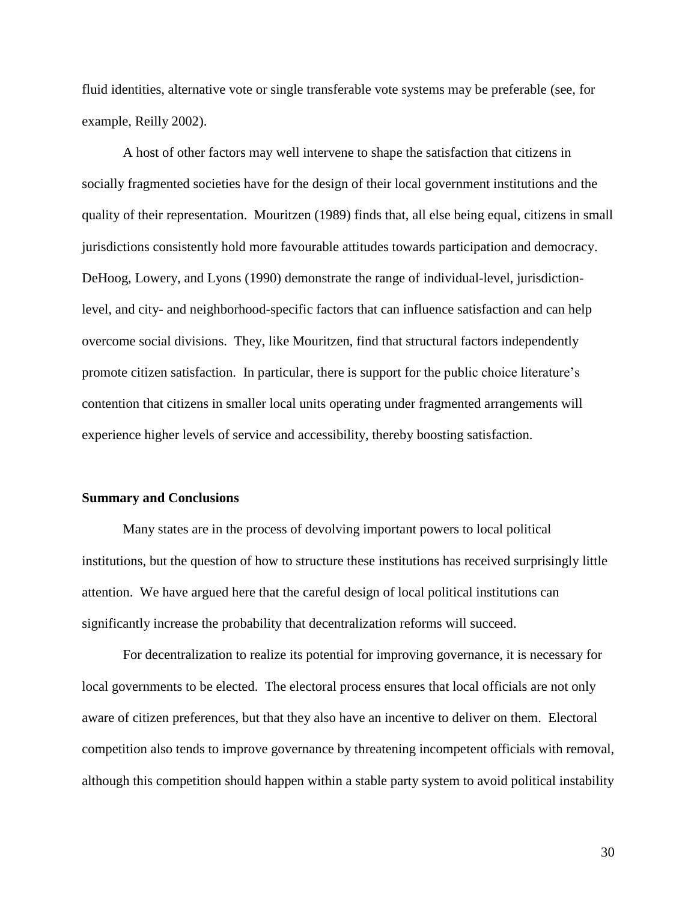fluid identities, alternative vote or single transferable vote systems may be preferable (see, for example, Reilly 2002).

A host of other factors may well intervene to shape the satisfaction that citizens in socially fragmented societies have for the design of their local government institutions and the quality of their representation. Mouritzen (1989) finds that, all else being equal, citizens in small jurisdictions consistently hold more favourable attitudes towards participation and democracy. DeHoog, Lowery, and Lyons (1990) demonstrate the range of individual-level, jurisdictionlevel, and city- and neighborhood-specific factors that can influence satisfaction and can help overcome social divisions. They, like Mouritzen, find that structural factors independently promote citizen satisfaction. In particular, there is support for the public choice literature's contention that citizens in smaller local units operating under fragmented arrangements will experience higher levels of service and accessibility, thereby boosting satisfaction.

#### **Summary and Conclusions**

Many states are in the process of devolving important powers to local political institutions, but the question of how to structure these institutions has received surprisingly little attention. We have argued here that the careful design of local political institutions can significantly increase the probability that decentralization reforms will succeed.

For decentralization to realize its potential for improving governance, it is necessary for local governments to be elected. The electoral process ensures that local officials are not only aware of citizen preferences, but that they also have an incentive to deliver on them. Electoral competition also tends to improve governance by threatening incompetent officials with removal, although this competition should happen within a stable party system to avoid political instability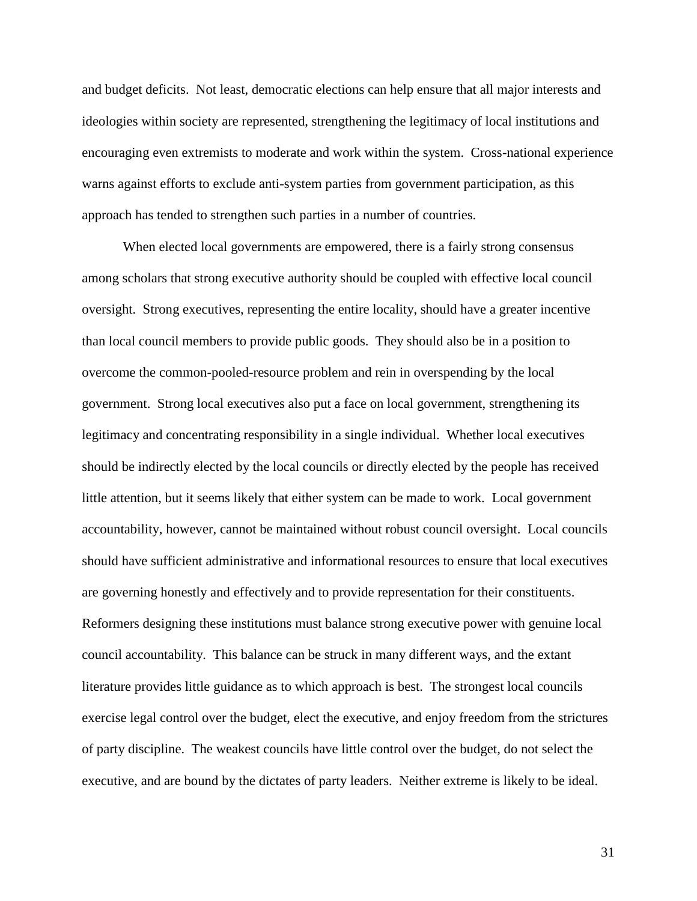and budget deficits. Not least, democratic elections can help ensure that all major interests and ideologies within society are represented, strengthening the legitimacy of local institutions and encouraging even extremists to moderate and work within the system. Cross-national experience warns against efforts to exclude anti-system parties from government participation, as this approach has tended to strengthen such parties in a number of countries.

When elected local governments are empowered, there is a fairly strong consensus among scholars that strong executive authority should be coupled with effective local council oversight. Strong executives, representing the entire locality, should have a greater incentive than local council members to provide public goods. They should also be in a position to overcome the common-pooled-resource problem and rein in overspending by the local government. Strong local executives also put a face on local government, strengthening its legitimacy and concentrating responsibility in a single individual. Whether local executives should be indirectly elected by the local councils or directly elected by the people has received little attention, but it seems likely that either system can be made to work. Local government accountability, however, cannot be maintained without robust council oversight. Local councils should have sufficient administrative and informational resources to ensure that local executives are governing honestly and effectively and to provide representation for their constituents. Reformers designing these institutions must balance strong executive power with genuine local council accountability. This balance can be struck in many different ways, and the extant literature provides little guidance as to which approach is best. The strongest local councils exercise legal control over the budget, elect the executive, and enjoy freedom from the strictures of party discipline. The weakest councils have little control over the budget, do not select the executive, and are bound by the dictates of party leaders. Neither extreme is likely to be ideal.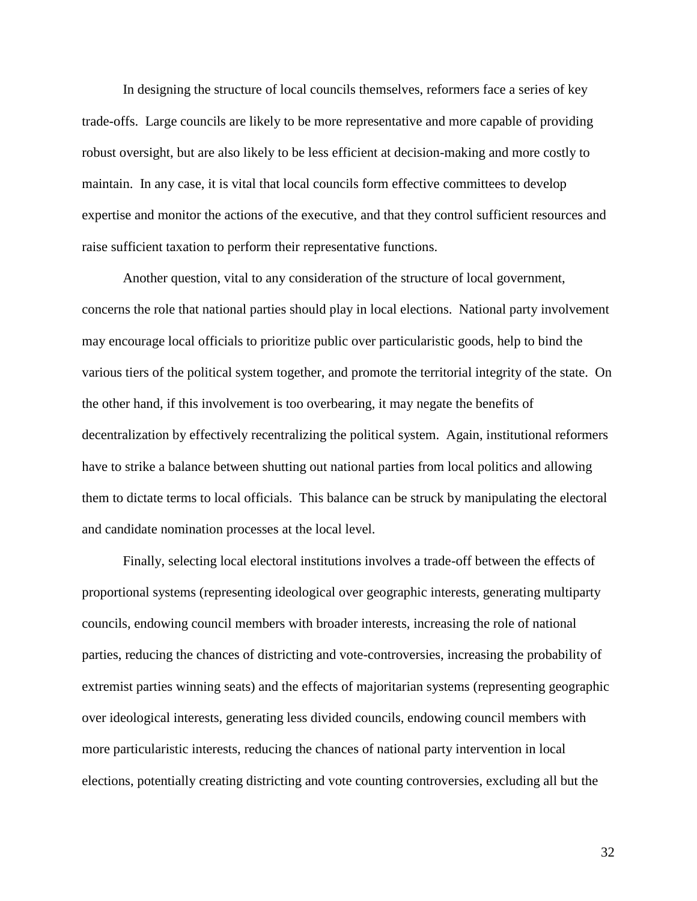In designing the structure of local councils themselves, reformers face a series of key trade-offs. Large councils are likely to be more representative and more capable of providing robust oversight, but are also likely to be less efficient at decision-making and more costly to maintain. In any case, it is vital that local councils form effective committees to develop expertise and monitor the actions of the executive, and that they control sufficient resources and raise sufficient taxation to perform their representative functions.

Another question, vital to any consideration of the structure of local government, concerns the role that national parties should play in local elections. National party involvement may encourage local officials to prioritize public over particularistic goods, help to bind the various tiers of the political system together, and promote the territorial integrity of the state. On the other hand, if this involvement is too overbearing, it may negate the benefits of decentralization by effectively recentralizing the political system. Again, institutional reformers have to strike a balance between shutting out national parties from local politics and allowing them to dictate terms to local officials. This balance can be struck by manipulating the electoral and candidate nomination processes at the local level.

Finally, selecting local electoral institutions involves a trade-off between the effects of proportional systems (representing ideological over geographic interests, generating multiparty councils, endowing council members with broader interests, increasing the role of national parties, reducing the chances of districting and vote-controversies, increasing the probability of extremist parties winning seats) and the effects of majoritarian systems (representing geographic over ideological interests, generating less divided councils, endowing council members with more particularistic interests, reducing the chances of national party intervention in local elections, potentially creating districting and vote counting controversies, excluding all but the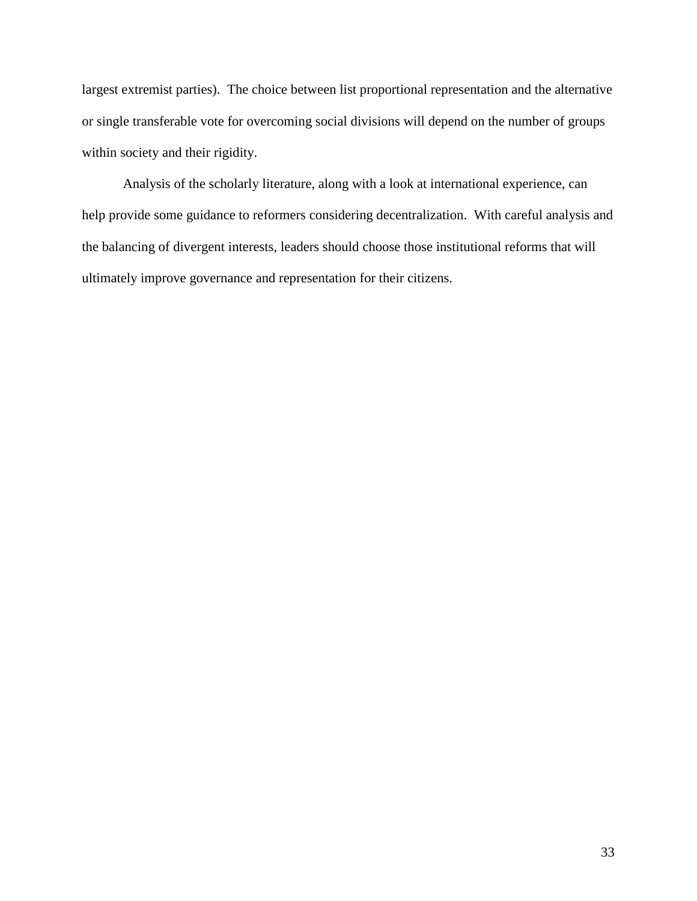largest extremist parties). The choice between list proportional representation and the alternative or single transferable vote for overcoming social divisions will depend on the number of groups within society and their rigidity.

Analysis of the scholarly literature, along with a look at international experience, can help provide some guidance to reformers considering decentralization. With careful analysis and the balancing of divergent interests, leaders should choose those institutional reforms that will ultimately improve governance and representation for their citizens.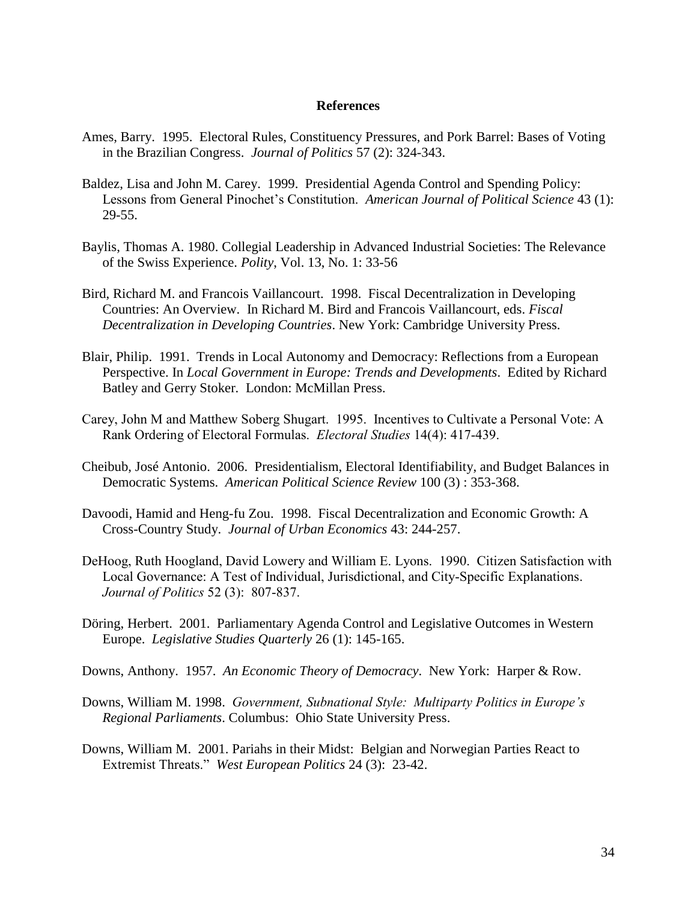#### **References**

- Ames, Barry. 1995. Electoral Rules, Constituency Pressures, and Pork Barrel: Bases of Voting in the Brazilian Congress. *Journal of Politics* 57 (2): 324-343.
- Baldez, Lisa and John M. Carey. 1999. Presidential Agenda Control and Spending Policy: Lessons from General Pinochet's Constitution. *American Journal of Political Science* 43 (1): 29-55.
- Baylis, Thomas A. 1980. Collegial Leadership in Advanced Industrial Societies: The Relevance of the Swiss Experience. *Polity*, Vol. 13, No. 1: 33-56
- Bird, Richard M. and Francois Vaillancourt. 1998. Fiscal Decentralization in Developing Countries: An Overview. In Richard M. Bird and Francois Vaillancourt, eds. *Fiscal Decentralization in Developing Countries*. New York: Cambridge University Press.
- Blair, Philip. 1991. Trends in Local Autonomy and Democracy: Reflections from a European Perspective. In *Local Government in Europe: Trends and Developments*. Edited by Richard Batley and Gerry Stoker. London: McMillan Press.
- Carey, John M and Matthew Soberg Shugart. 1995. Incentives to Cultivate a Personal Vote: A Rank Ordering of Electoral Formulas. *Electoral Studies* 14(4): 417-439.
- Cheibub, José Antonio. 2006. Presidentialism, Electoral Identifiability, and Budget Balances in Democratic Systems. *American Political Science Review* 100 (3) : 353-368.
- Davoodi, Hamid and Heng-fu Zou. 1998. Fiscal Decentralization and Economic Growth: A Cross-Country Study. *Journal of Urban Economics* 43: 244-257.
- DeHoog, Ruth Hoogland, David Lowery and William E. Lyons. 1990. Citizen Satisfaction with Local Governance: A Test of Individual, Jurisdictional, and City-Specific Explanations. *Journal of Politics* 52 (3): 807-837.
- Döring, Herbert. 2001. Parliamentary Agenda Control and Legislative Outcomes in Western Europe. *Legislative Studies Quarterly* 26 (1): 145-165.
- Downs, Anthony. 1957. *An Economic Theory of Democracy*. New York: Harper & Row.
- Downs, William M. 1998. *Government, Subnational Style: Multiparty Politics in Europe's Regional Parliaments*. Columbus: Ohio State University Press.
- Downs, William M. 2001. Pariahs in their Midst: Belgian and Norwegian Parties React to Extremist Threats.‖ *West European Politics* 24 (3): 23-42.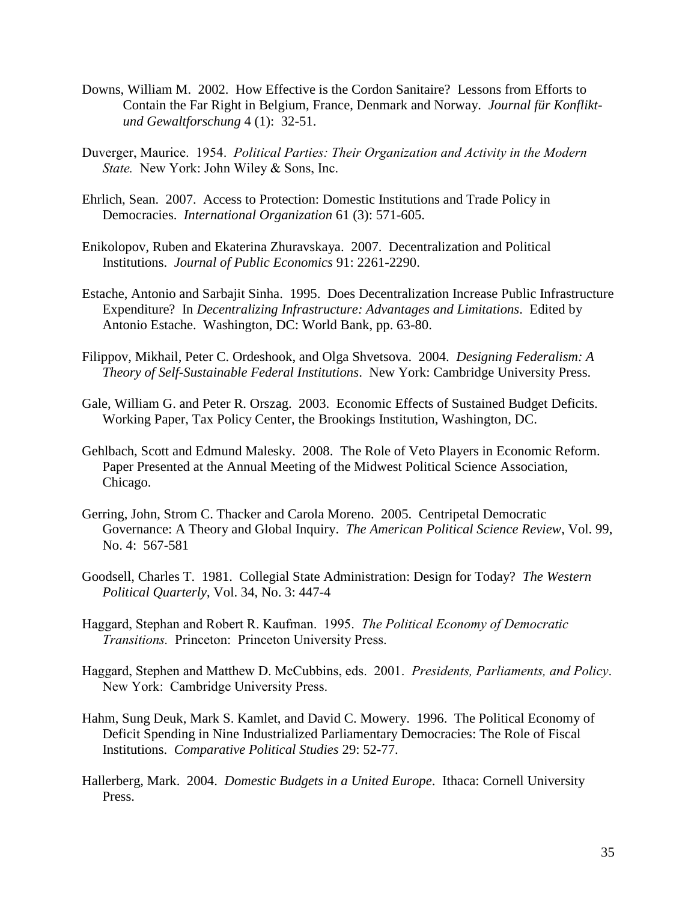- Downs, William M. 2002. How Effective is the Cordon Sanitaire? Lessons from Efforts to Contain the Far Right in Belgium, France, Denmark and Norway. *Journal für Konfliktund Gewaltforschung* 4 (1): 32-51.
- Duverger, Maurice. 1954. *Political Parties: Their Organization and Activity in the Modern State.* New York: John Wiley & Sons, Inc.
- Ehrlich, Sean. 2007. Access to Protection: Domestic Institutions and Trade Policy in Democracies. *International Organization* 61 (3): 571-605.
- Enikolopov, Ruben and Ekaterina Zhuravskaya. 2007. Decentralization and Political Institutions. *Journal of Public Economics* 91: 2261-2290.
- Estache, Antonio and Sarbajit Sinha. 1995. Does Decentralization Increase Public Infrastructure Expenditure? In *Decentralizing Infrastructure: Advantages and Limitations*. Edited by Antonio Estache. Washington, DC: World Bank, pp. 63-80.
- Filippov, Mikhail, Peter C. Ordeshook, and Olga Shvetsova. 2004. *Designing Federalism: A Theory of Self-Sustainable Federal Institutions*. New York: Cambridge University Press.
- Gale, William G. and Peter R. Orszag. 2003. Economic Effects of Sustained Budget Deficits. Working Paper, Tax Policy Center, the Brookings Institution, Washington, DC.
- Gehlbach, Scott and Edmund Malesky. 2008. The Role of Veto Players in Economic Reform. Paper Presented at the Annual Meeting of the Midwest Political Science Association, Chicago.
- Gerring, John, Strom C. Thacker and Carola Moreno. 2005. Centripetal Democratic Governance: A Theory and Global Inquiry. *The American Political Science Review*, Vol. 99, No. 4: 567-581
- Goodsell, Charles T. 1981. Collegial State Administration: Design for Today? *The Western Political Quarterly*, Vol. 34, No. 3: 447-4
- Haggard, Stephan and Robert R. Kaufman. 1995. *The Political Economy of Democratic Transitions.* Princeton: Princeton University Press.
- Haggard, Stephen and Matthew D. McCubbins, eds. 2001. *Presidents, Parliaments, and Policy*. New York: Cambridge University Press.
- Hahm, Sung Deuk, Mark S. Kamlet, and David C. Mowery. 1996. The Political Economy of Deficit Spending in Nine Industrialized Parliamentary Democracies: The Role of Fiscal Institutions. *Comparative Political Studies* 29: 52-77.
- Hallerberg, Mark. 2004. *Domestic Budgets in a United Europe*. Ithaca: Cornell University Press.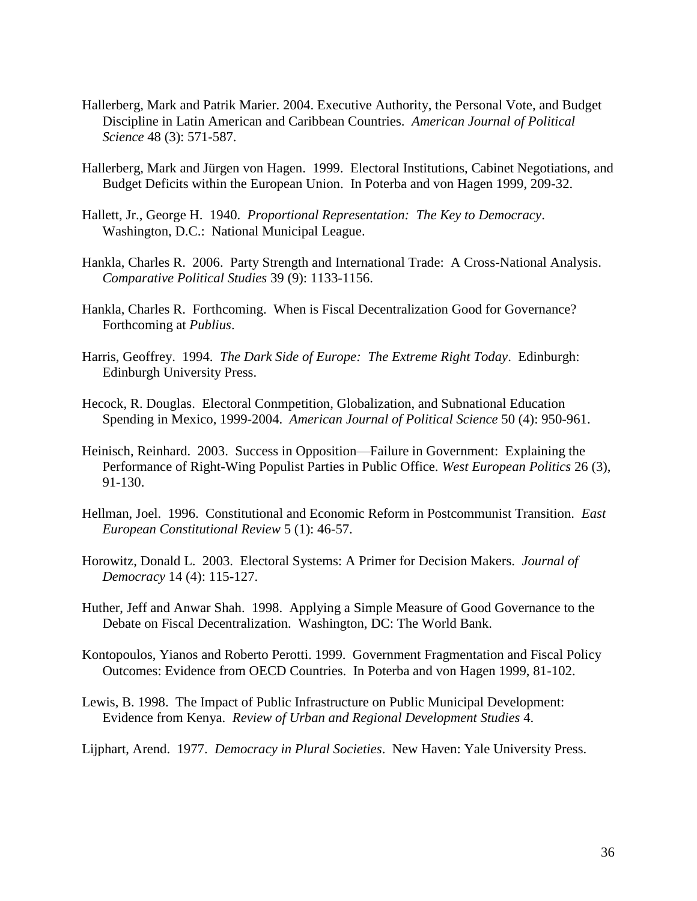- Hallerberg, Mark and Patrik Marier. 2004. Executive Authority, the Personal Vote, and Budget Discipline in Latin American and Caribbean Countries. *American Journal of Political Science* 48 (3): 571-587.
- Hallerberg, Mark and Jürgen von Hagen. 1999. Electoral Institutions, Cabinet Negotiations, and Budget Deficits within the European Union. In Poterba and von Hagen 1999, 209-32.
- Hallett, Jr., George H. 1940. *Proportional Representation: The Key to Democracy*. Washington, D.C.: National Municipal League.
- Hankla, Charles R. 2006. Party Strength and International Trade: A Cross-National Analysis. *Comparative Political Studies* 39 (9): 1133-1156.
- Hankla, Charles R. Forthcoming. When is Fiscal Decentralization Good for Governance? Forthcoming at *Publius*.
- Harris, Geoffrey. 1994. *The Dark Side of Europe: The Extreme Right Today*. Edinburgh: Edinburgh University Press.
- Hecock, R. Douglas. Electoral Conmpetition, Globalization, and Subnational Education Spending in Mexico, 1999-2004. *American Journal of Political Science* 50 (4): 950-961.
- Heinisch, Reinhard. 2003. Success in Opposition—Failure in Government: Explaining the Performance of Right-Wing Populist Parties in Public Office. *West European Politics* 26 (3), 91-130.
- Hellman, Joel. 1996. Constitutional and Economic Reform in Postcommunist Transition. *East European Constitutional Review* 5 (1): 46-57.
- Horowitz, Donald L. 2003. Electoral Systems: A Primer for Decision Makers. *Journal of Democracy* 14 (4): 115-127.
- Huther, Jeff and Anwar Shah. 1998. Applying a Simple Measure of Good Governance to the Debate on Fiscal Decentralization. Washington, DC: The World Bank.
- Kontopoulos, Yianos and Roberto Perotti. 1999. Government Fragmentation and Fiscal Policy Outcomes: Evidence from OECD Countries. In Poterba and von Hagen 1999, 81-102.
- Lewis, B. 1998. The Impact of Public Infrastructure on Public Municipal Development: Evidence from Kenya. *Review of Urban and Regional Development Studies* 4.
- Lijphart, Arend. 1977. *Democracy in Plural Societies*. New Haven: Yale University Press.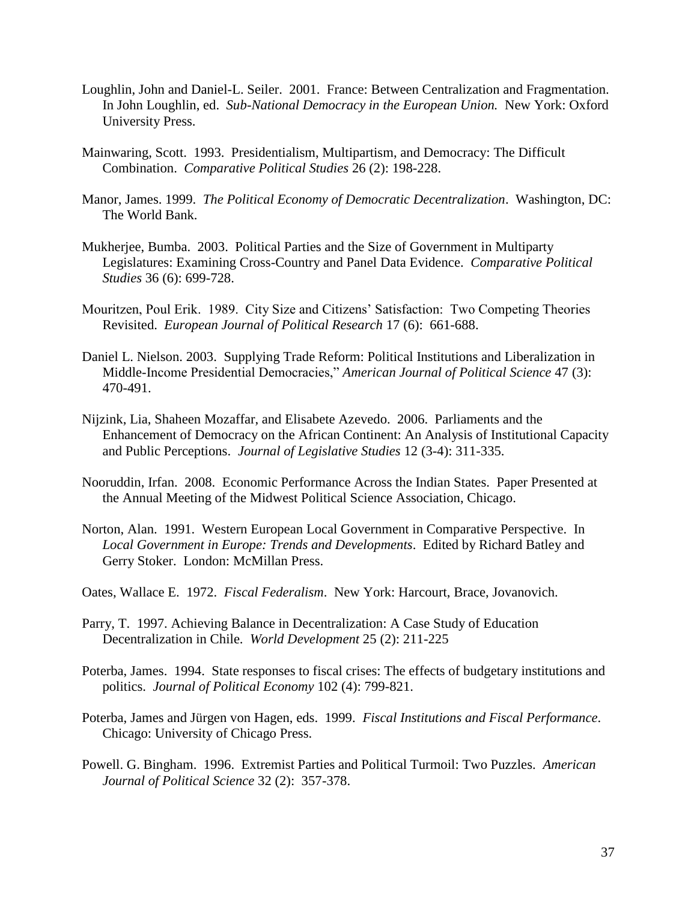- Loughlin, John and Daniel-L. Seiler. 2001. France: Between Centralization and Fragmentation. In John Loughlin, ed. *Sub-National Democracy in the European Union.* New York: Oxford University Press.
- Mainwaring, Scott. 1993. Presidentialism, Multipartism, and Democracy: The Difficult Combination. *Comparative Political Studies* 26 (2): 198-228.
- Manor, James. 1999. *The Political Economy of Democratic Decentralization*. Washington, DC: The World Bank.
- Mukherjee, Bumba. 2003. Political Parties and the Size of Government in Multiparty Legislatures: Examining Cross-Country and Panel Data Evidence. *Comparative Political Studies* 36 (6): 699-728.
- Mouritzen, Poul Erik. 1989. City Size and Citizens' Satisfaction: Two Competing Theories Revisited. *European Journal of Political Research* 17 (6): 661-688.
- Daniel L. Nielson. 2003. Supplying Trade Reform: Political Institutions and Liberalization in Middle-Income Presidential Democracies," American Journal of Political Science 47 (3): 470-491.
- Nijzink, Lia, Shaheen Mozaffar, and Elisabete Azevedo. 2006. Parliaments and the Enhancement of Democracy on the African Continent: An Analysis of Institutional Capacity and Public Perceptions. *Journal of Legislative Studies* 12 (3-4): 311-335.
- Nooruddin, Irfan. 2008. Economic Performance Across the Indian States. Paper Presented at the Annual Meeting of the Midwest Political Science Association, Chicago.
- Norton, Alan. 1991. Western European Local Government in Comparative Perspective. In *Local Government in Europe: Trends and Developments*. Edited by Richard Batley and Gerry Stoker. London: McMillan Press.
- Oates, Wallace E. 1972. *Fiscal Federalism*. New York: Harcourt, Brace, Jovanovich.
- Parry, T. 1997. Achieving Balance in Decentralization: A Case Study of Education Decentralization in Chile. *World Development* 25 (2): 211-225
- Poterba, James. 1994. State responses to fiscal crises: The effects of budgetary institutions and politics. *Journal of Political Economy* 102 (4): 799-821.
- Poterba, James and Jürgen von Hagen, eds. 1999. *Fiscal Institutions and Fiscal Performance*. Chicago: University of Chicago Press.
- Powell. G. Bingham. 1996. Extremist Parties and Political Turmoil: Two Puzzles. *American Journal of Political Science* 32 (2): 357-378.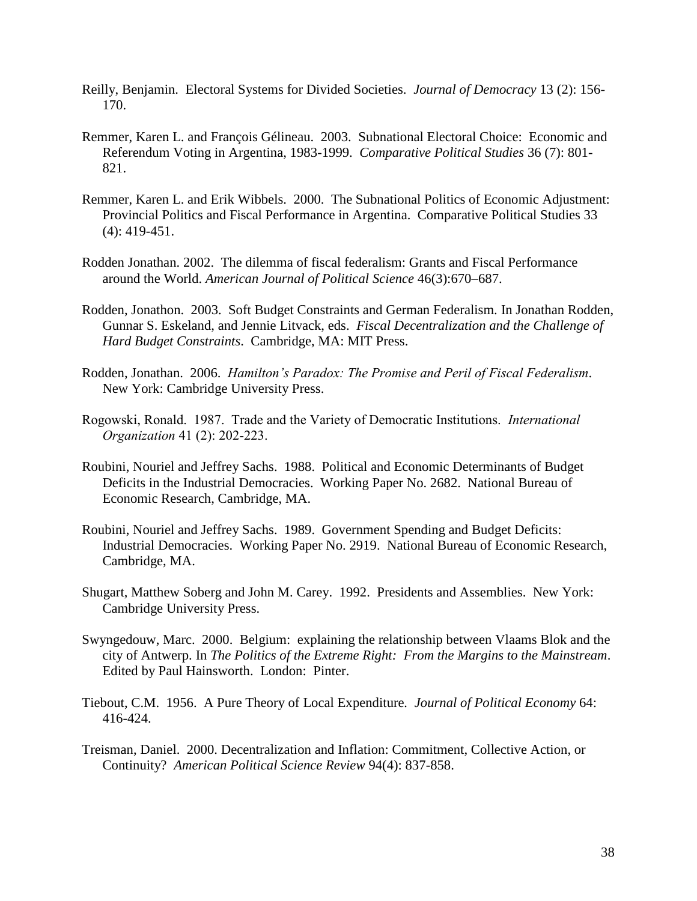- Reilly, Benjamin. Electoral Systems for Divided Societies. *Journal of Democracy* 13 (2): 156- 170.
- Remmer, Karen L. and François Gélineau. 2003. Subnational Electoral Choice: Economic and Referendum Voting in Argentina, 1983-1999. *Comparative Political Studies* 36 (7): 801- 821.
- Remmer, Karen L. and Erik Wibbels. 2000. The Subnational Politics of Economic Adjustment: Provincial Politics and Fiscal Performance in Argentina. Comparative Political Studies 33 (4): 419-451.
- Rodden Jonathan. 2002. The dilemma of fiscal federalism: Grants and Fiscal Performance around the World. *American Journal of Political Science* 46(3):670–687.
- Rodden, Jonathon. 2003. Soft Budget Constraints and German Federalism. In Jonathan Rodden, Gunnar S. Eskeland, and Jennie Litvack, eds. *Fiscal Decentralization and the Challenge of Hard Budget Constraints*. Cambridge, MA: MIT Press.
- Rodden, Jonathan. 2006. *Hamilton's Paradox: The Promise and Peril of Fiscal Federalism*. New York: Cambridge University Press.
- Rogowski, Ronald. 1987. Trade and the Variety of Democratic Institutions. *International Organization* 41 (2): 202-223.
- Roubini, Nouriel and Jeffrey Sachs. 1988. Political and Economic Determinants of Budget Deficits in the Industrial Democracies. Working Paper No. 2682. National Bureau of Economic Research, Cambridge, MA.
- Roubini, Nouriel and Jeffrey Sachs. 1989. Government Spending and Budget Deficits: Industrial Democracies. Working Paper No. 2919. National Bureau of Economic Research, Cambridge, MA.
- Shugart, Matthew Soberg and John M. Carey. 1992. Presidents and Assemblies. New York: Cambridge University Press.
- Swyngedouw, Marc. 2000. Belgium: explaining the relationship between Vlaams Blok and the city of Antwerp. In *The Politics of the Extreme Right: From the Margins to the Mainstream*. Edited by Paul Hainsworth. London: Pinter.
- Tiebout, C.M. 1956. A Pure Theory of Local Expenditure*. Journal of Political Economy* 64: 416-424.
- Treisman, Daniel. 2000. Decentralization and Inflation: Commitment, Collective Action, or Continuity? *American Political Science Review* 94(4): 837-858.